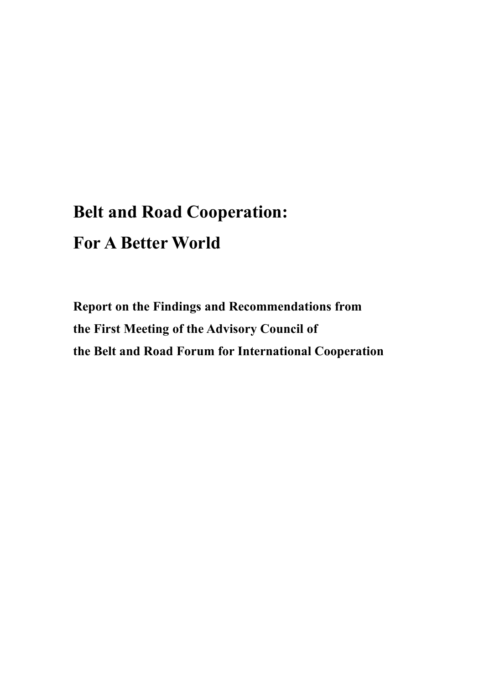# **Belt and Road Cooperation: For A Better World**

**Report on the Findings and Recommendations from the First Meeting of the Advisory Council of the Belt and Road Forum for International Cooperation**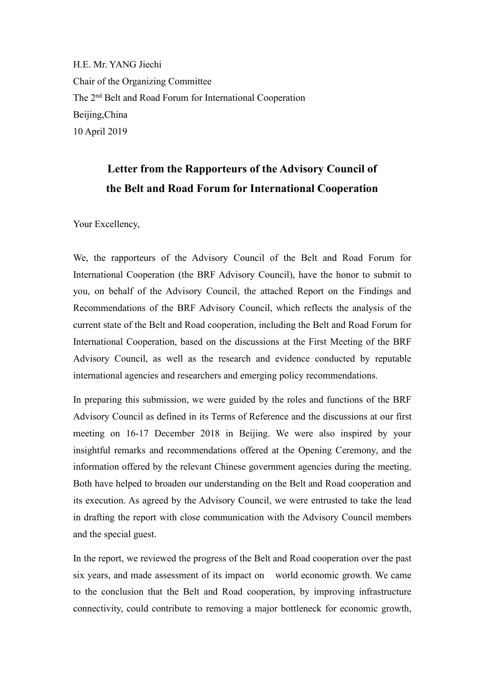H.E. Mr. YANG Jiechi Chair of the Organizing Committee The 2<sup>nd</sup> Belt and Road Forum for International Cooperation Beijing,China 10 April 2019

### Letter from the Rapporteurs of the Advisory Council of **the Belt and Road Forum for International Cooperation**

Your Excellency,

We, the rapporteurs of the Advisory Council of the Belt and Road Forum for International Cooperation (the BRF Advisory Council), have the honor to submit to you, on behalf of the Advisory Council, the attached Report on the Findings and Recommendations of the BRF Advisory Council, which reflects the analysis of the current state of the Belt and Road cooperation, including the Belt and Road Forum for International Cooperation, based on the discussions at the First Meeting of the BRF Advisory Council, as well as the research and evidence conducted by reputable international agencies and researchers and emerging policy recommendations.

In preparing this submission, we were guided by the roles and functions of the BRF Advisory Council as defined in its Terms of Reference and the discussions at our first meeting on 16-17 December 2018 in Beijing. We were also inspired by your insightful remarks and recommendations offered at the Opening Ceremony, and the information offered by the relevant Chinese government agencies during the meeting. Both have helped to broaden our understanding on the Belt and Road cooperation and its execution. As agreed by the Advisory Council, we were entrusted to take the lead in drafting the report with close communication with the Advisory Council members and the special guest.

In the report, we reviewed the progress of the Belt and Road cooperation over the past six years, and made assessment of its impact on world economic growth. We came to the conclusion that the Belt and Road cooperation, by improving infrastructure connectivity, could contribute to removing a major bottleneck for economic growth,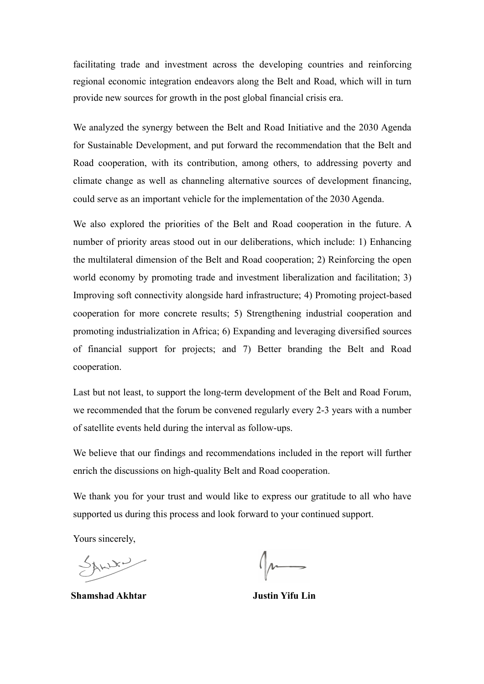facilitating trade and investment across the developing countries and reinforcing regional economic integration endeavors along the Belt and Road, which will in turn provide new sources for growth in the post global financial crisis era.

We analyzed the synergy between the Belt and Road Initiative and the 2030 Agenda for Sustainable Development, and put forward the recommendation that the Belt and Road cooperation, with its contribution, among others, to addressing poverty and climate change as well as channeling alternative sources of development financing, could serve as an important vehicle for the implementation of the 2030 Agenda.

We also explored the priorities of the Belt and Road cooperation in the future. A number of priority areas stood out in our deliberations, which include: 1) Enhancing the multilateral dimension of the Belt and Road cooperation; 2) Reinforcing the open world economy by promoting trade and investment liberalization and facilitation; 3) Improving soft connectivity alongside hard infrastructure; 4) Promoting project-based cooperation for more concrete results; 5) Strengthening industrial cooperation and promoting industrialization in Africa; 6) Expanding and leveraging diversified sources of financial support for projects; and 7) Better branding the Belt and Road cooperation.

Last but not least, to support the long-term development of the Belt and Road Forum, we recommended that the forum be convened regularly every 2-3 years with a number of satellite events held during the interval as follow-ups.

We believe that our findings and recommendations included in the report will further enrich the discussions on high-quality Belt and Road cooperation.

We thank you for your trust and would like to express our gratitude to all who have supported us during this process and look forward to your continued support.

Yours sincerely,

SAWN

**Shamshad Akhtar Justin Yifu Lin**

 $\int_{\mu}$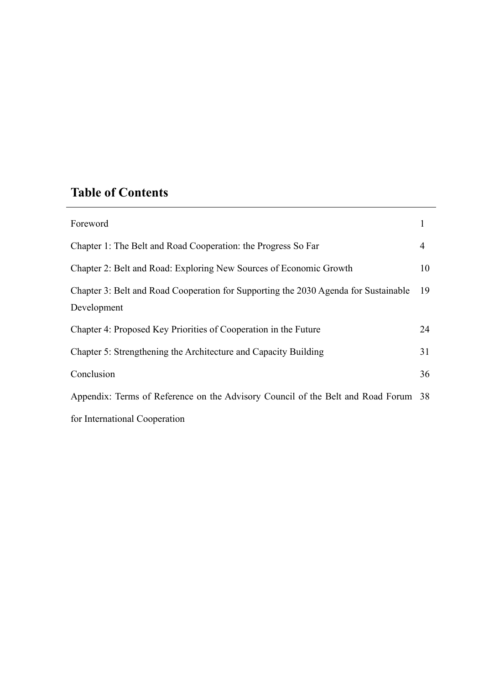### **Table of Contents**

| Foreword                                                                                           |     |
|----------------------------------------------------------------------------------------------------|-----|
| Chapter 1: The Belt and Road Cooperation: the Progress So Far                                      | 4   |
| Chapter 2: Belt and Road: Exploring New Sources of Economic Growth                                 | 10  |
| Chapter 3: Belt and Road Cooperation for Supporting the 2030 Agenda for Sustainable<br>Development | -19 |
| Chapter 4: Proposed Key Priorities of Cooperation in the Future                                    | 24  |
| Chapter 5: Strengthening the Architecture and Capacity Building                                    | 31  |
| Conclusion                                                                                         | 36  |
| Appendix: Terms of Reference on the Advisory Council of the Belt and Road Forum 38                 |     |
| for International Cooperation                                                                      |     |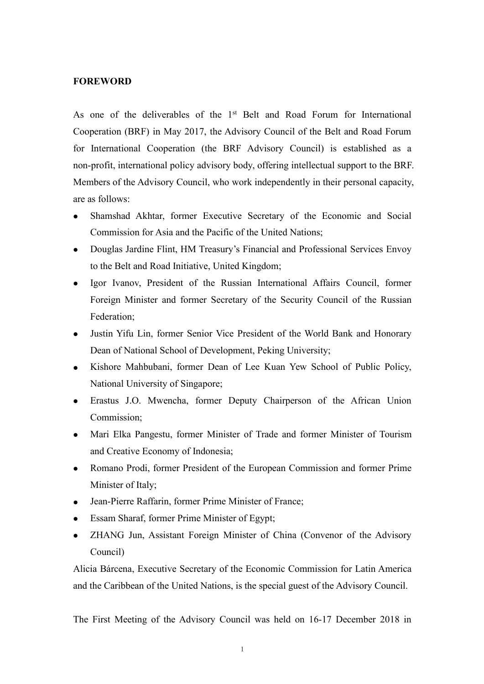### **FOREWORD**

As one of the deliverables of the  $1<sup>st</sup>$  Belt and Road Forum for International Cooperation (BRF) in May 2017, the Advisory Council of the Belt and Road Forum for International Cooperation (the BRF Advisory Council) is established as a non-profit, international policy advisory body, offering intellectual support to the BRF. Members of the Advisory Council, who work independently in their personal capacity, are as follows:

- Shamshad Akhtar, former Executive Secretary of the Economic and Social Commission for Asia and the Pacific of the United Nations;
- Douglas Jardine Flint, HM Treasury's Financial and Professional Services Envoy to the Belt and Road Initiative, United Kingdom;
- Igor Ivanov, President of the Russian International Affairs Council, former Foreign Minister and former Secretary of the Security Council of the Russian Federation;
- Justin Yifu Lin, former Senior Vice President of the World Bank and Honorary Dean of National School of Development, Peking University;
- Kishore Mahbubani, former Dean of Lee Kuan Yew School of Public Policy, National University of Singapore;
- Erastus J.O. Mwencha, former Deputy Chairperson of the African Union Commission;
- Mari Elka Pangestu, former Minister of Trade and former Minister of Tourism and Creative Economy of Indonesia;
- Romano Prodi, former President of the European Commission and former Prime Minister of Italy;
- Jean-Pierre Raffarin, former Prime Minister of France;
- Essam Sharaf, former Prime Minister of Egypt;
- ZHANG Jun, Assistant Foreign Minister of China (Convenor of the Advisory Council)

Alicia Bárcena, Executive Secretary of the Economic Commission for Latin America and the Caribbean of the United Nations, is the special guest of the Advisory Council.

The First Meeting of the Advisory Council was held on 16-17 December 2018 in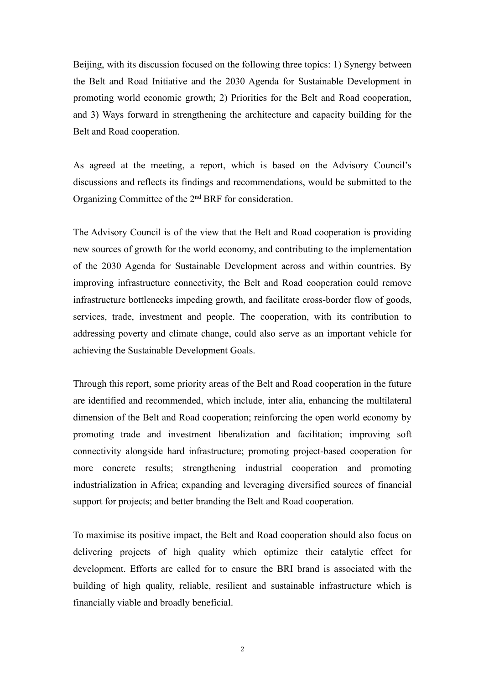Beijing, with its discussion focused on the following three topics: 1) Synergy between the Belt and Road Initiative and the 2030 Agenda for Sustainable Development in promoting world economic growth; 2) Priorities for the Belt and Road cooperation, and 3) Ways forward in strengthening the architecture and capacity building for the Belt and Road cooperation.

As agreed at the meeting, a report, which is based on the Advisory Council's discussions and reflects its findings and recommendations, would be submitted to the Organizing Committee of the 2<sup>nd</sup> BRF for consideration.

The Advisory Council is of the view that the Belt and Road cooperation is providing new sources of growth for the world economy, and contributing to the implementation of the 2030 Agenda for Sustainable Development across and within countries. By improving infrastructure connectivity, the Belt and Road cooperation could remove infrastructure bottlenecks impeding growth, and facilitate cross-border flow of goods, services, trade, investment and people. The cooperation, with its contribution to addressing poverty and climate change, could also serve as an important vehicle for achieving the Sustainable Development Goals.

Through this report, some priority areas of the Belt and Road cooperation in the future are identified and recommended, which include, inter alia, enhancing the multilateral dimension of the Belt and Road cooperation; reinforcing the open world economy by promoting trade and investment liberalization and facilitation; improving soft connectivity alongside hard infrastructure; promoting project-based cooperation for more concrete results; strengthening industrial cooperation and promoting industrialization in Africa; expanding and leveraging diversified sources of financial support for projects; and better branding the Belt and Road cooperation.

To maximise its positive impact, the Belt and Road cooperation should also focus on delivering projects of high quality which optimize their catalytic effect for development. Efforts are called for to ensure the BRI brand is associated with the building of high quality, reliable, resilient and sustainable infrastructure which is financially viable and broadly beneficial.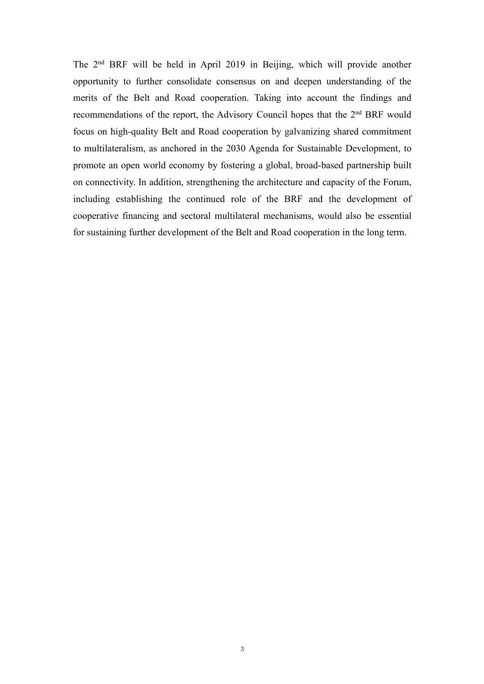The 2 nd BRF will be held in April 2019 in Beijing, which will provide another opportunity to further consolidate consensus on and deepen understanding of the merits of the Belt and Road cooperation. Taking into account the findings and recommendations of the report, the Advisory Council hopes that the 2<sup>nd</sup> BRF would focus on high-quality Belt and Road cooperation by galvanizing shared commitment to multilateralism, as anchored in the 2030 Agenda for Sustainable Development, to promote an open world economy by fostering a global, broad-based partnership built on connectivity. In addition, strengthening the architecture and capacity of the Forum, including establishing the continued role of the BRF and the development of cooperative financing and sectoral multilateral mechanisms, would also be essential for sustaining further development of the Belt and Road cooperation in the long term.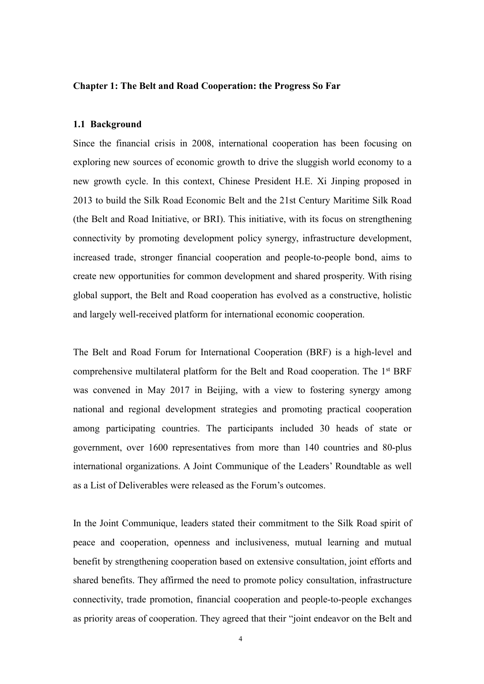#### **Chapter 1: The Belt and Road Cooperation: the Progress So Far**

#### **1.1 Background**

Since the financial crisis in 2008, international cooperation has been focusing on exploring new sources of economic growth to drive the sluggish world economy to a new growth cycle. In this context, Chinese President H.E. Xi Jinping proposed in 2013 to build the Silk Road Economic Belt and the 21st Century Maritime Silk Road (the Belt and Road Initiative, or BRI). This initiative, with its focus on strengthening connectivity by promoting development policy synergy, infrastructure development, increased trade, stronger financial cooperation and people-to-people bond, aims to create new opportunities for common development and shared prosperity. With rising global support, the Belt and Road cooperation has evolved as a constructive, holistic and largely well-received platform for international economic cooperation.

The Belt and Road Forum for International Cooperation (BRF) is a high-level and comprehensive multilateral platform for the Belt and Road cooperation. The 1<sup>st</sup> BRF was convened in May 2017 in Beijing, with a view to fostering synergy among national and regional development strategies and promoting practical cooperation among participating countries. The participants included 30 heads of state or government, over 1600 representatives from more than 140 countries and 80-plus international organizations. A Joint Communique of the Leaders' Roundtable as well as a List of Deliverables were released as the Forum's outcomes.

In the Joint Communique, leaders stated their commitment to the Silk Road spirit of peace and cooperation, openness and inclusiveness, mutual learning and mutual benefit by strengthening cooperation based on extensive consultation, joint efforts and shared benefits. They affirmed the need to promote policy consultation, infrastructure connectivity, trade promotion, financial cooperation and people-to-people exchanges as priority areas of cooperation. They agreed that their "joint endeavor on the Belt and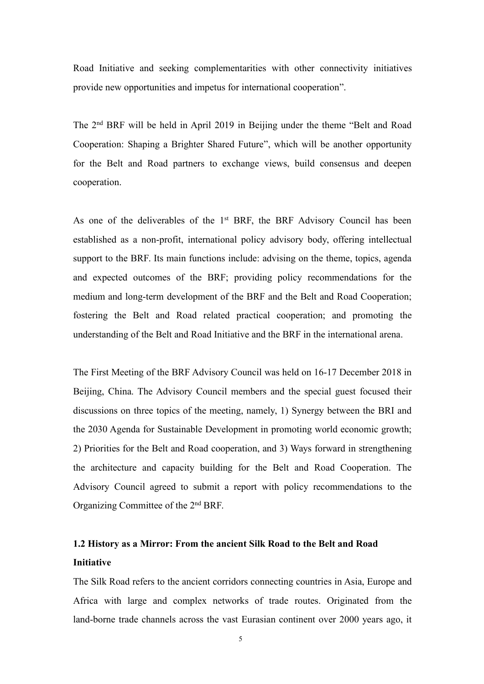Road Initiative and seeking complementarities with other connectivity initiatives provide new opportunities and impetus for international cooperation".

The 2 nd BRF will be held in April 2019 in Beijing under the theme "Belt and Road Cooperation: Shaping a Brighter Shared Future", which will be another opportunity for the Belt and Road partners to exchange views, build consensus and deepen cooperation.

As one of the deliverables of the 1<sup>st</sup> BRF, the BRF Advisory Council has been established as a non-profit, international policy advisory body, offering intellectual support to the BRF. Its main functions include: advising on the theme, topics, agenda and expected outcomes of the BRF; providing policy recommendations for the medium and long-term development of the BRF and the Belt and Road Cooperation; fostering the Belt and Road related practical cooperation; and promoting the understanding of the Belt and Road Initiative and the BRF in the international arena.

The First Meeting of the BRF Advisory Council was held on 16-17 December 2018 in Beijing, China. The Advisory Council members and the special guest focused their discussions on three topics of the meeting, namely, 1) Synergy between the BRI and the 2030 Agenda for Sustainable Development in promoting world economic growth; 2) Priorities for the Belt and Road cooperation, and 3) Ways forward in strengthening the architecture and capacity building for the Belt and Road Cooperation. The Advisory Council agreed to submit a report with policy recommendations to the Organizing Committee of the 2<sup>nd</sup> BRF.

### **1.2 History as a Mirror: From the ancient Silk Road tothe Belt and Road Initiative**

The Silk Road refers to the ancient corridors connecting countries in Asia, Europe and Africa with large and complex networks of trade routes. Originated from the land-borne trade channels across the vast Eurasian continent over 2000 years ago, it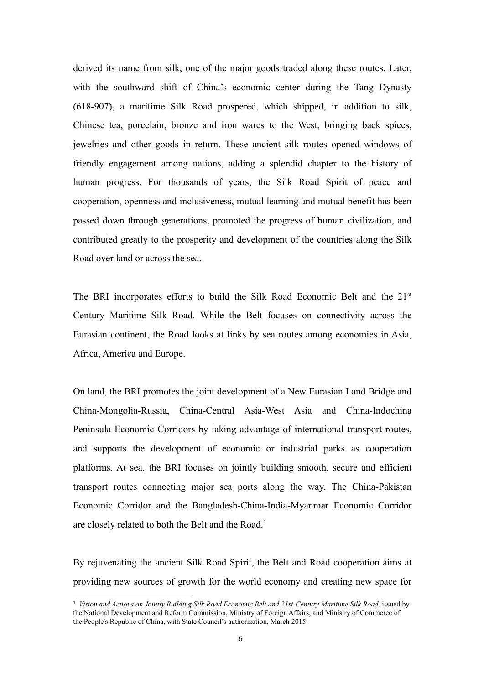derived its name from silk, one of the major goods traded along these routes. Later, with the southward shift of China's economic center during the Tang Dynasty  $(618-907)$ , a maritime Silk Road prospered, which shipped, in addition to silk, Chinese tea, porcelain, bronze and iron wares to the West, bringing back spices, jewelries and other goods in return. These ancient silk routes opened windows of friendly engagement among nations, adding a splendid chapter to the history of human progress. For thousands of years, the Silk Road Spirit of peace and cooperation, openness and inclusiveness, mutual learning and mutual benefit has been passed down through generations, promoted the progress of human civilization, and contributed greatly to the prosperity and development of the countries along the Silk Road over land or across the sea.

The BRI incorporates efforts to build the Silk Road Economic Belt and the 21<sup>st</sup> Century Maritime Silk Road. While the Belt focuses on connectivity across the Eurasian continent, the Road looks at links by sea routes among economies in Asia, Africa, America and Europe.

On land, the BRI promotes the joint development of a New Eurasian Land Bridge and China-Mongolia-Russia, China-Central Asia-West Asia and China-Indochina Peninsula Economic Corridors by taking advantage of international transport routes, and supports the development of economic or industrial parks as cooperation platforms. At sea, the BRI focuses on jointly building smooth, secure and efficient transport routes connecting major sea ports along the way. The China-Pakistan Economic Corridor and the Bangladesh-China-India-Myanmar Economic Corridor are closely related to both the Belt and the Road.<sup>[1](#page-9-0)</sup>

By rejuvenating the ancient Silk Road Spirit, the Belt and Road cooperation aims at providing new sources of growth for the world economy and creating new space for

<span id="page-9-0"></span><sup>1</sup> *Vision and Actions on Jointly Building Silk Road Economic Belt and 21st-Century Maritime Silk Road*, issued by the National Development and Reform Commission, Ministry of Foreign Affairs, and Ministry of Commerce of the People's Republic of China, with State Council's authorization, March 2015.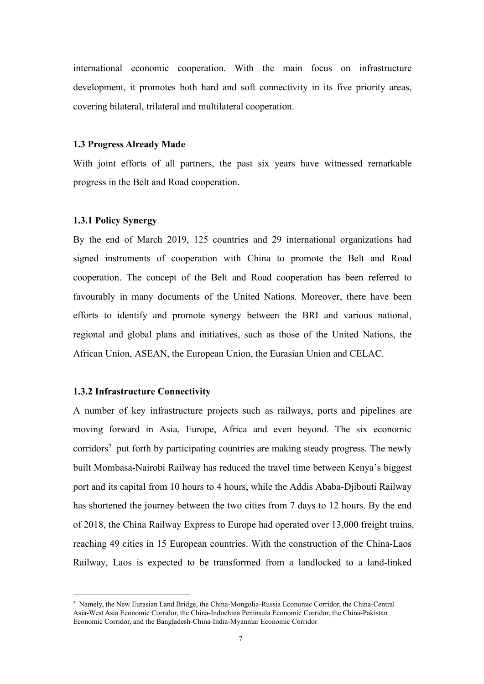international economic cooperation. With the main focus on infrastructure development, it promotes both hard and soft connectivity in its five priority areas, covering bilateral, trilateral and multilateral cooperation.

### **1.3 Progress Already Made**

With joint efforts of all partners, the past six years have witnessed remarkable progress in the Belt and Road cooperation.

#### **1.3.1 Policy Synergy**

By the end of March 2019, 125 countries and 29 international organizations had signed instruments of cooperation with China to promote the Belt and Road cooperation. The concept of the Belt and Road cooperation has been referred to favourably in many documents of the United Nations. Moreover, there have been efforts to identify and promote synergy between the BRI and various national, regional and global plans and initiatives, such as those of the United Nations, the African Union, ASEAN, the European Union, the Eurasian Union and CELAC.

### **1.3.2 Infrastructure Connectivity**

A number of key infrastructure projects such as railways, ports and pipelines are moving forward in Asia, Europe, Africa and even beyond. The six economic corridors [2](#page-10-0) put forth by participating countries are making steady progress. The newly built Mombasa-Nairobi Railway has reduced the travel time between Kenya's biggest port and its capital from 10 hours to 4 hours, while the Addis Ababa-Djibouti Railway has shortened the journey between the two cities from 7 days to 12 hours. By the end of 2018, the China Railway Express to Europe had operated over 13,000 freight trains, reaching 49 cities in 15 European countries. With the construction of the China-Laos Railway, Laos is expected to be transformed from a landlocked to a land-linked

<span id="page-10-0"></span><sup>2</sup> Namely, the New Eurasian Land Bridge, the China-Mongolia-Russia Economic Corridor, the China-Central Asia-West Asia Economic Corridor, the China-Indochina Peninsula Economic Corridor, the China-Pakistan Economic Corridor, and the Bangladesh-China-India-Myanmar Economic Corridor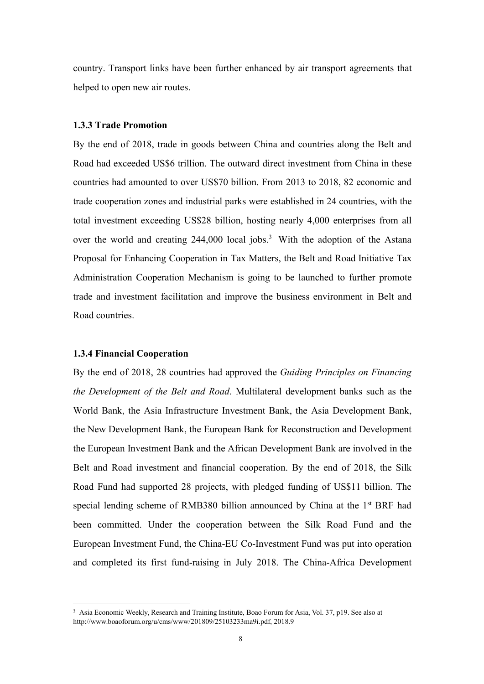country. Transport links have been further enhanced by air transport agreements that helped to open new air routes.

#### **1.3.3 Trade Promotion**

By the end of 2018, trade in goods between China and countries along the Belt and Road had exceeded US\$6 trillion. The outward direct investment from China in these countries had amounted to over US\$70 billion. From 2013 to 2018, 82 economic and trade cooperation zones and industrial parks were established in 24 countries, with the total investment exceeding US\$28 billion, hosting nearly 4,000 enterprises from all over the world and creating  $244,000$  local jobs.<sup>[3](#page-11-0)</sup> With the adoption of the Astana Proposal for Enhancing Cooperation in Tax Matters, the Belt and Road Initiative Tax Administration Cooperation Mechanism is going to be launched to further promote trade and investment facilitation and improve the business environment in Belt and Road countries.

### **1.3.4 FinancialCooperation**

By the end of 2018, 28 countries had approved the *Guiding Principles on Financing the Development of the Belt and Road*. Multilateral development banks such as the World Bank, the Asia Infrastructure Investment Bank, the Asia Development Bank, the New Development Bank, the European Bank for Reconstruction and Development the European Investment Bank and the African Development Bank are involved in the Belt and Road investment and financial cooperation. By the end of 2018, the Silk Road Fund had supported 28 projects, with pledged funding of US\$11 billion. The special lending scheme of RMB380 billion announced by China at the 1<sup>st</sup> BRF had been committed. Under the cooperation between the Silk Road Fund and the European Investment Fund, the China-EU Co-Investment Fund was put into operation and completed its first fund-raising in July 2018. The China-Africa Development

<span id="page-11-0"></span><sup>3</sup> Asia Economic Weekly, Research and Training Institute, Boao Forum for Asia, Vol. 37, p19. See also at http://www.boaoforum.org/u/cms/www/201809/25103233ma9i.pdf, 2018.9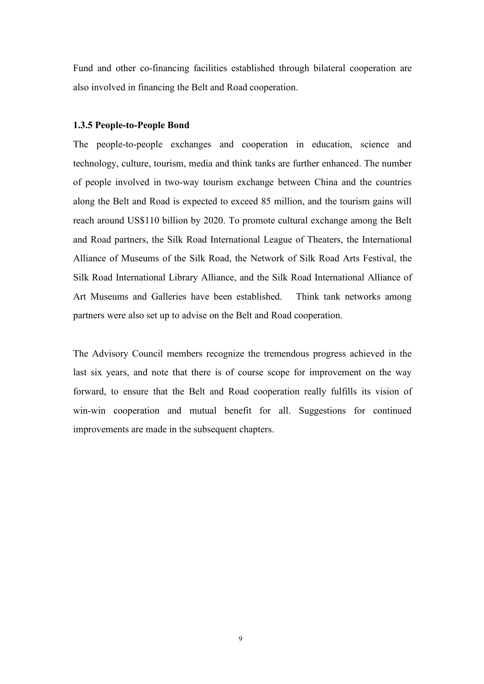Fund and other co-financing facilities established through bilateral cooperation are also involved in financing the Belt and Road cooperation.

#### **1.3.5 People-to-People Bond**

The people-to-people exchanges and cooperation in education, science and technology, culture, tourism, media and think tanks are further enhanced. The number of people involved in two-way tourism exchange between China and the countries along the Belt and Road is expected to exceed 85 million, and the tourism gains will reach around US\$110 billion by 2020. To promote cultural exchange among the Belt and Road partners, the Silk Road International League of Theaters, the International Alliance of Museums of the Silk Road, the Network of Silk Road Arts Festival, the Silk Road International Library Alliance, and the Silk Road International Alliance of Art Museums and Galleries have been established. Think tank networks among partners were also set up to advise on the Belt and Road cooperation.

The Advisory Council members recognize the tremendous progress achieved in the last six years, and note that there is of course scope for improvement on the way forward, to ensure that the Belt and Road cooperation really fulfills its vision of win-win cooperation and mutual benefit for all. Suggestions for continued improvements are made in the subsequent chapters.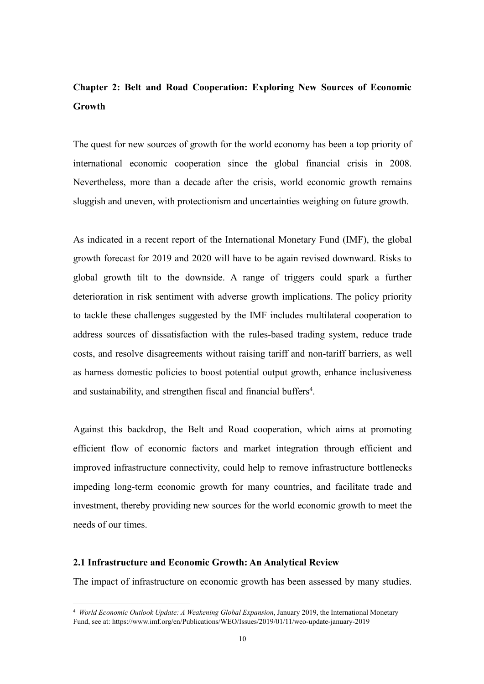### **Chapter 2: Belt and Road Cooperation: Exploring New Sources of Economic Growth**

The quest for new sources of growth for the world economy has been a top priority of international economic cooperation since the global financial crisis in 2008. Nevertheless, more than a decade after the crisis, world economic growth remains sluggish and uneven, with protectionism and uncertainties weighing on future growth.

As indicated in a recent report of the International Monetary Fund (IMF), the global growth forecast for 2019 and 2020 willhave to be again revised downward. Risks to global growth tilt to the downside. A range of triggers could spark a further deterioration in risk sentiment with adverse growth implications. The policy priority to tackle these challenges suggested by the IMF includes multilateral cooperation to address sources of dissatisfaction with the rules-based trading system, reduce trade costs, and resolve disagreements without raising tariff and non-tariff barriers, as well as harness domestic policies to boost potential output growth, enhance inclusiveness and sustainability, and strengthen fiscal and financial buffers [4](#page-13-0) .

Against this backdrop, the Belt and Road cooperation, which aims at promoting efficient flow of economic factors and market integration through efficient and improved infrastructure connectivity, could help to remove infrastructure bottlenecks impeding long-term economic growth for many countries, and facilitate trade and investment, thereby providing new sources for the world economic growth to meet the needs of our times.

#### **2.1 Infrastructure and Economic Growth: An Analytical Review**

The impact of infrastructure on economic growth has been assessed by many studies.

<span id="page-13-0"></span><sup>4</sup> *World Economic Outlook Update: A Weakening Global Expansion*, January 2019, the International Monetary Fund, see at: https://www.imf.org/en/Publications/WEO/Issues/2019/01/11/weo-update-january-2019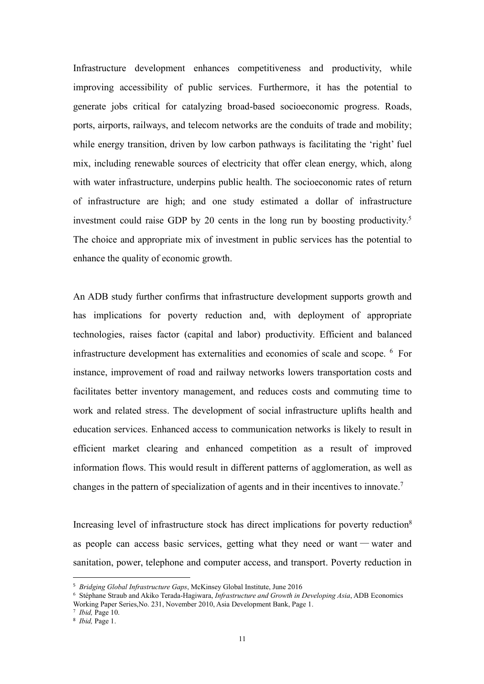Infrastructure development enhances competitiveness and productivity, while improving accessibility of public services. Furthermore, it has the potential to generate jobs critical for catalyzing broad-based socioeconomic progress. Roads, ports, airports, railways, and telecom networks are the conduits of trade and mobility; while energy transition, driven by low carbon pathways is facilitating the 'right' fuel mix, including renewable sources of electricity that offer clean energy, which, along with water infrastructure, underpins public health. The socioeconomic rates of return of infrastructure are high; and one study estimated a dollar of infrastructure investment could raise GDP by 20 cents in the long run by boosting productivity.<sup>[5](#page-14-0)</sup> The choice and appropriate mix of investment in public services has the potential to enhance the quality of economic growth.

An ADB study further confirms that infrastructure development supports growth and has implications for poverty reduction and, with deployment of appropriate technologies, raises factor (capital and labor) productivity. Efficient and balanced infrastructure development has externalities and economies of scale and scope. [6](#page-14-1) For instance, improvement of road and railway networks lowers transportation costs and facilitates better inventory management, and reduces costs and commuting time to work and related stress. The development of social infrastructure uplifts health and education services. Enhanced access to communication networks is likely to result in efficient market clearing and enhanced competition as a result of improved information flows. This would result in different patterns of agglomeration, as well as changes in the pattern of specialization of agents and in their incentives to innovate.[7](#page-14-2)

Increasing level of infrastructure stock has direct implications for poverty reduction<sup>8</sup> [8](#page-14-3) as people can access basic services, getting what they need or want — water and sanitation, power, telephone and computer access, and transport. Poverty reduction in

<span id="page-14-0"></span><sup>5</sup> *Bridging Global Infrastructure Gaps*, McKinsey Global Institute, June 2016

<span id="page-14-1"></span><sup>6</sup> Stéphane Straub and Akiko Terada-Hagiwara, *Infrastructure and Growth in Developing Asia*, ADB Economics Working Paper Series,No. 231, November 2010, Asia Development Bank, Page 1.

<span id="page-14-2"></span><sup>7</sup> *Ibid,* Page 10.

<span id="page-14-3"></span><sup>8</sup> *Ibid,* Page 1.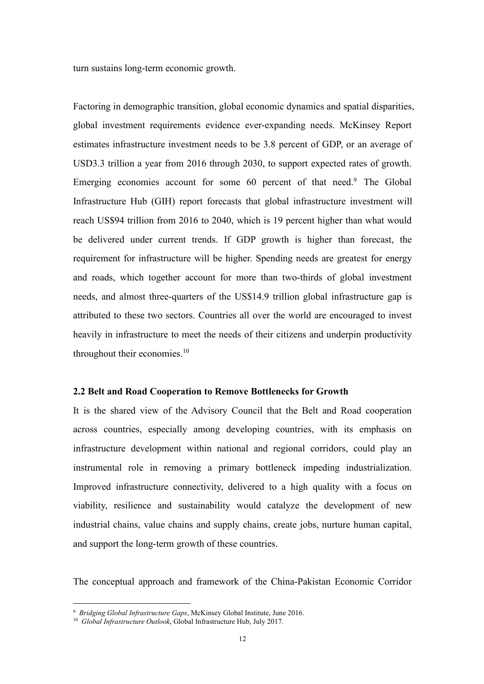turn sustains long-term economic growth.

Factoring in demographic transition, global economic dynamics and spatial disparities, global investment requirements evidence ever-expanding needs. McKinsey Report estimates infrastructure investment needs to be 3.8 percent of GDP, or an average of USD3.3 trillion a year from 2016 through 2030, to support expected rates of growth. Emerging economies account for some 60 percent of that need.<sup>[9](#page-15-0)</sup> The Global Infrastructure Hub (GIH) report forecasts that global infrastructure investment will reach US\$94 trillion from 2016 to 2040, which is 19 percent higher than what would be delivered under current trends. If GDP growth is higher than forecast, the requirement for infrastructure will be higher. Spending needs are greatest for energy and roads, which together account for more than two-thirds of global investment needs, and almost three-quarters of the US\$14.9 trillion global infrastructure gap is attributed to these two sectors. Countries all over the world are encouraged to invest heavily in infrastructure to meet the needs of their citizens and underpin productivity throughout their economies.<sup>[10](#page-15-1)</sup>

#### **2.2** Belt and Road Cooperation to Remove Bottlenecks for Growth

It is the shared view of the Advisory Council that the Belt and Road cooperation across countries, especially among developing countries, with its emphasis on infrastructure development within national and regional corridors, could play an instrumental role in removing a primary bottleneck impeding industrialization. Improved infrastructure connectivity, delivered to a high quality with a focus on viability, resilience and sustainability would catalyze the development of new industrial chains, value chains and supply chains, create jobs, nurture human capital, and support the long-term growth of these countries.

The conceptual approach and framework of the China-Pakistan Economic Corridor

<span id="page-15-0"></span><sup>9</sup> *Bridging Global Infrastructure Gaps*, McKinsey Global Institute, June 2016.

<span id="page-15-1"></span><sup>10</sup> *Global Infrastructure Outlook*,Global Infrastructure Hub, July 2017.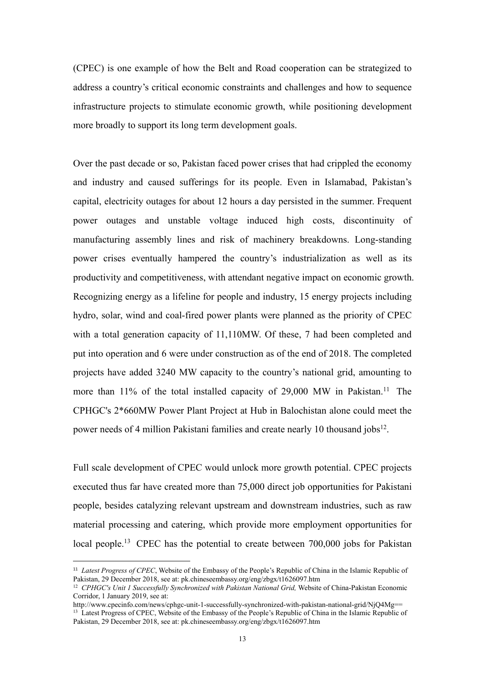(CPEC) is one example of how the Belt and Road cooperation can be strategized to address a country's critical economic constraints and challenges and how to sequence infrastructure projects to stimulate economic growth, while positioning development more broadly to support its long term development goals.

Over the past decade or so, Pakistan faced power crises that had crippled the economy and industry and caused sufferings for its people. Even in Islamabad, Pakistan's capital, electricity outages for about 12 hours a day persisted in the summer. Frequent power outages and unstable voltage induced high costs, discontinuity of manufacturing assembly lines and risk of machinery breakdowns. Long-standing power crises eventually hampered the country's industrialization as well as its productivity and competitiveness, with attendant negative impact on economic growth. Recognizing energy as a lifeline for people and industry, 15 energy projects including hydro, solar, wind and coal-fired power plants were planned as the priority of CPEC with a total generation capacity of 11,110MW. Of these, 7 had been completed and put into operation and 6 were under construction as of the end of 2018. The completed projects have added 3240 MW capacity to the country's national grid, amounting to more than  $11\%$  $11\%$  of the total installed capacity of 29,000 MW in Pakistan.<sup>11</sup> The CPHGC's 2\*660MW Power Plant Project at Hub in Balochistan alone could meet the power needs of 4 million Pakistani families and create nearly 10 thousand jobs<sup>[12](#page-16-1)</sup>. .

Full scale development of CPEC would unlock more growth potential. CPEC projects executed thus far have created more than 75,000 direct job opportunities for Pakistani people, besides catalyzing relevant upstream and downstream industries, such as raw material processing and catering, which provide more employment opportunities for local people.<sup>[13](#page-16-2)</sup> CPEC has the potential to create between 700,000 jobs for Pakistan

<span id="page-16-0"></span><sup>11</sup> *Latest Progress of CPEC*, Website of the Embassy of the People's Republic of China in the Islamic Republic of Pakistan, 29 December 2018, see at: pk.chineseembassy.org/eng/zbgx/t1626097.htm

<span id="page-16-1"></span><sup>12</sup> *CPHGC's Unit 1 Successfully Synchronized with Pakistan National Grid,* Website of China-Pakistan Economic Corridor, 1 January 2019, see at:

http://www.cpecinfo.com/news/cphgc-unit-1-successfully-synchronized-with-pakistan-national-grid/NjQ4Mg==

<span id="page-16-2"></span><sup>&</sup>lt;sup>13</sup> Latest Progress of CPEC, Website of the Embassy of the People's Republic of China in the Islamic Republic of Pakistan, 29 December 2018, see at: pk.chineseembassy.org/eng/zbgx/t1626097.htm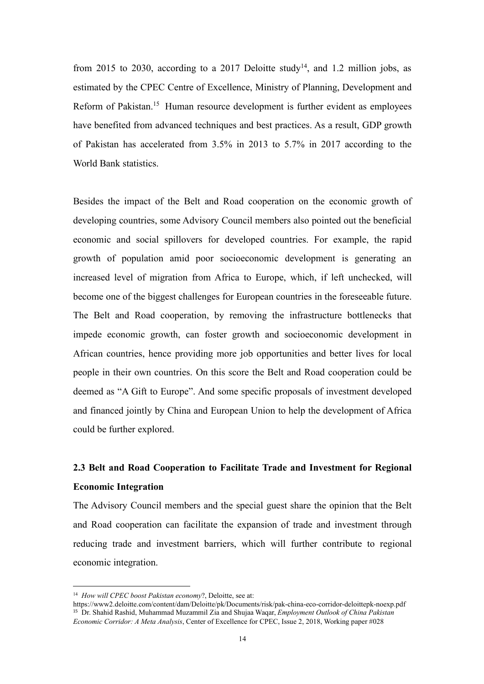from 2015 to 2030, according to a 2017 Deloitte study<sup>[14](#page-17-0)</sup>, and 1.2 million jobs, as estimated by the CPEC Centre of Excellence, Ministry of Planning, Development and Reform of Pakistan.[15](#page-17-1) Human resource development is further evident as employees have benefited from advanced techniques and best practices. As a result, GDP growth of Pakistan has accelerated from 3.5% in 2013 to 5.7% in 2017 according to the World Bank statistics.

Besides the impact of the Belt and Road cooperation on the economic growth of developing countries, some Advisory Council members also pointed out the beneficial economic and social spillovers for developed countries. For example, the rapid growth of population amid poor socioeconomic development is generating an increased level of migration from Africa to Europe, which, if left unchecked, will become one of the biggest challenges for European countries in the foreseeable future. The Belt and Road cooperation, by removing the infrastructure bottlenecks that impede economic growth, can foster growth and socioeconomic development in African countries, hence providing more job opportunities and better lives for local people in their own countries. On this score the Belt and Road cooperation could be deemed as "A Gift to Europe". And some specific proposals of investment developed and financed jointly by China and European Union to help the development of Africa could be further explored.

### **2.3 Belt and Road Cooperation to Facilitate Trade and Investment for Regional Economic Integration**

The Advisory Council members and the special guest share the opinion that the Belt and Road cooperation can facilitate the expansion of trade and investment through reducing trade and investment barriers, which will further contribute to regional economic integration.

<span id="page-17-0"></span><sup>14</sup> *How will CPEC boost Pakistan economy*?, Deloitte, see at:

<span id="page-17-1"></span>https://www2.deloitte.com/content/dam/Deloitte/pk/Documents/risk/pak-china-eco-corridor-deloittepk-noexp.pdf <sup>15</sup> Dr. Shahid Rashid, Muhammad Muzammil Zia and Shujaa Waqar, *Employment Outlook of China Pakistan Economic Corridor: A Meta Analysis*, Center of Excellence for CPEC, Issue 2, 2018, Working paper #028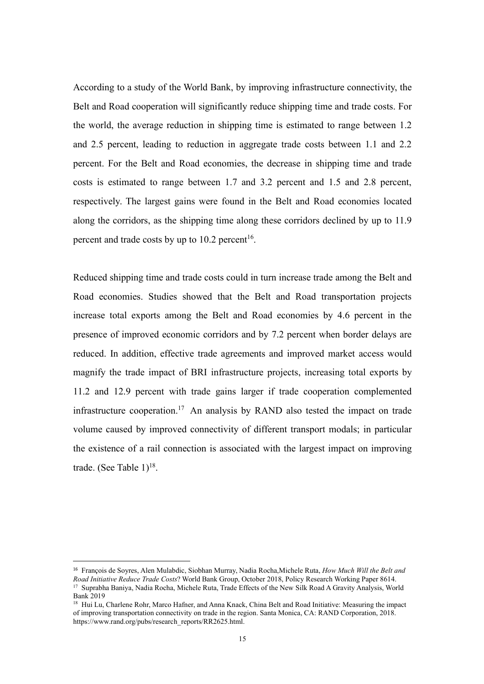According to a study of the World Bank, by improving infrastructure connectivity, the Belt and Road cooperation will significantly reduce shipping time and trade costs. For the world, the average reduction in shipping time is estimated to range between 1.2 and 2.5 percent, leading to reduction in aggregate trade costs between 1.1 and 2.2 percent. For the Belt and Road economies, the decrease in shipping time and trade costs is estimated to range between 1.7 and 3.2 percent and 1.5 and 2.8 percent, respectively. The largest gains were found in the Belt and Road economies located along the corridors, as the shipping time along these corridors declined by up to 11.9 percent and trade costs by up to  $10.2$  percent<sup>[16](#page-18-0)</sup>. .

Reduced shipping time and trade costs could in turn increase trade among the Belt and Road economies. Studies showed that the Belt and Road transportation projects increase total exports among the Belt and Road economies by 4.6 percent in the presence of improved economic corridors and by 7.2 percent when border delays are reduced. In addition, effective trade agreements and improved market access would magnify the trade impact of BRI infrastructure projects, increasing total exports by 11.2 and 12.9 percent with trade gains larger if trade cooperation complemented infrastructure cooperation.[17](#page-18-1) An analysis by RAND also tested the impact on trade volume caused by improved connectivity of different transport modals; in particular the existence of a rail connection is associated with the largest impact on improving trade. (See Table  $1)^{18}$  $1)^{18}$  $1)^{18}$ . .

<span id="page-18-1"></span><span id="page-18-0"></span><sup>16</sup> François de Soyres, Alen Mulabdic, Siobhan Murray, Nadia Rocha,Michele Ruta, *How Much Will the Belt and Road Initiative Reduce Trade Costs*? World Bank Group, October 2018, Policy Research Working Paper 8614. <sup>17</sup> Suprabha Baniya, Nadia Rocha, Michele Ruta, Trade Effects of the New Silk RoadA Gravity Analysis, World Bank 2019

<span id="page-18-2"></span><sup>&</sup>lt;sup>18</sup> Hui Lu, Charlene Rohr, Marco Hafner, and Anna Knack, China Belt and Road Initiative: Measuring the impact of improving transportation connectivity on trade in the region. Santa Monica, CA: RAND Corporation, 2018. https://www.rand.org/pubs/research\_reports/RR2625.html.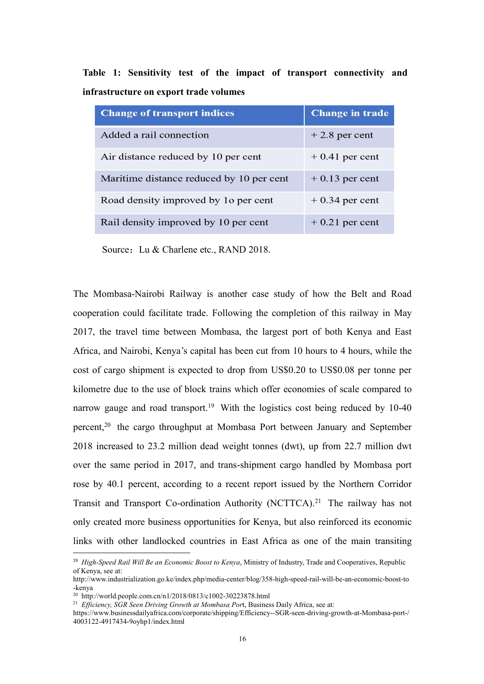|  |                                        |  |  |  | Table 1: Sensitivity test of the impact of transport connectivity and |  |
|--|----------------------------------------|--|--|--|-----------------------------------------------------------------------|--|
|  | infrastructure on export trade volumes |  |  |  |                                                                       |  |

| <b>Change of transport indices</b>       | <b>Change in trade</b> |
|------------------------------------------|------------------------|
| Added a rail connection                  | $+2.8$ per cent        |
| Air distance reduced by 10 per cent      | $+0.41$ per cent       |
| Maritime distance reduced by 10 per cent | $+0.13$ per cent       |
| Road density improved by 10 per cent     | $+0.34$ per cent       |
| Rail density improved by 10 per cent     | $+0.21$ per cent       |

Source: Lu & Charlene etc., RAND 2018.

The Mombasa-Nairobi Railway is another case study of how the Belt and Road cooperation could facilitate trade. Following the completion of this railway in May 2017, the travel time between Mombasa, the largest port of both Kenya and East Africa, and Nairobi, Kenya's capital has been cut from 10 hours to 4 hours, while the cost of cargo shipment is expected to drop from US\$0.20 to US\$0.08 per tonne per kilometre due to the use of block trains which offer economies of scale compared to narrow gauge and road transport.<sup>[19](#page-19-0)</sup> With the logistics cost being reduced by 10-40 percent,<sup>[20](#page-19-1)</sup> the cargo throughput at Mombasa Port between January and September 2018 increased to 23.2 million dead weight tonnes (dwt), up from 22.7 million dwt over the same period in 2017, and trans-shipment cargo handled by Mombasa port rose by 40.1 percent, according to a recent report issued by the Northern Corridor Transit and Transport Co-ordination Authority (NCTTCA).<sup>[21](#page-19-2)</sup> The railway has not only created more business opportunities for Kenya, but also reinforced its economic links with other landlocked countries in East Africa as one of the main transiting

<span id="page-19-0"></span><sup>19</sup> *High-Speed Rail Will Be an Economic Boost to Kenya*, Ministry of Industry, Trade and Cooperatives, Republic of Kenya, see at:

http://www.industrialization.go.ke/index.php/media-center/blog/358-high-speed-rail-will-be-an-economic-boost-to -kenya

<span id="page-19-1"></span><sup>20</sup> http://world.people.com.cn/n1/2018/0813/c1002-30223878.html

<span id="page-19-2"></span><sup>&</sup>lt;sup>21</sup> *Efficiency, SGR Seen Driving Growth at Mombasa Port, Business Daily Africa, see at:* 

https://www.businessdailyafrica.com/corporate/shipping/Efficiency--SGR-seen-driving-growth-at-Mombasa-port-/ 4003122-4917434-9oyhp1/index.html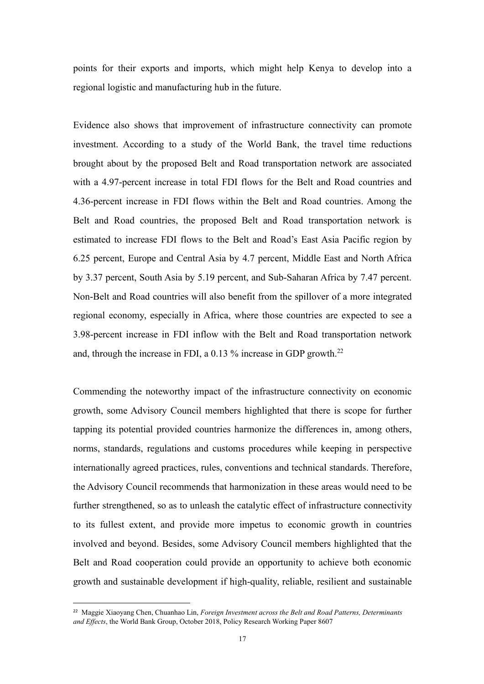points for their exports and imports, which might help Kenya to develop into a regional logistic and manufacturing hub in the future.

Evidence also shows that improvement of infrastructure connectivity can promote investment. According to a study of the World Bank, the travel time reductions brought about by the proposed Belt and Road transportation network are associated with a 4.97-percent increase in total FDI flows for the Belt and Road countries and 4.36-percent increase in FDI flows within the Belt and Road countries. Among the Belt and Road countries, the proposed Belt and Road transportation network is estimated to increase FDI flows to the Belt and Road's East Asia Pacific region by 6.25 percent, Europe and Central Asia by 4.7 percent, Middle East and North Africa by 3.37 percent, South Asia by 5.19 percent, and Sub-Saharan Africa by 7.47 percent. Non-Belt and Road countries will also benefit from the spillover of a more integrated regional economy, especially in Africa, where those countries are expected to see a 3.98-percent increase in FDI inflow with the Belt and Road transportation network and, through the increase in FDI, a 0.13 % increase in GDP growth.<sup>[22](#page-20-0)</sup>

Commending the noteworthy impact of the infrastructure connectivity on economic growth, some Advisory Council members highlighted that there is scope for further tapping its potential provided countries harmonize the differences in, among others, norms, standards, regulations and customs procedures while keeping in perspective internationally agreed practices, rules, conventions and technical standards. Therefore, the Advisory Council recommends that harmonization in these areas would need to be further strengthened, so as to unleash the catalytic effect of infrastructure connectivity to its fullest extent, and provide more impetus to economic growth in countries involved and beyond. Besides, some Advisory Council members highlighted that the Belt and Road cooperation could provide an opportunity to achieve both economic growth and sustainable development if high-quality, reliable, resilient and sustainable

<span id="page-20-0"></span><sup>22</sup> Maggie Xiaoyang Chen, Chuanhao Lin, *Foreign Investment across the Belt and Road Patterns, Determinants and Ef ects*, the World Bank Group, October 2018, Policy Research Working Paper 8607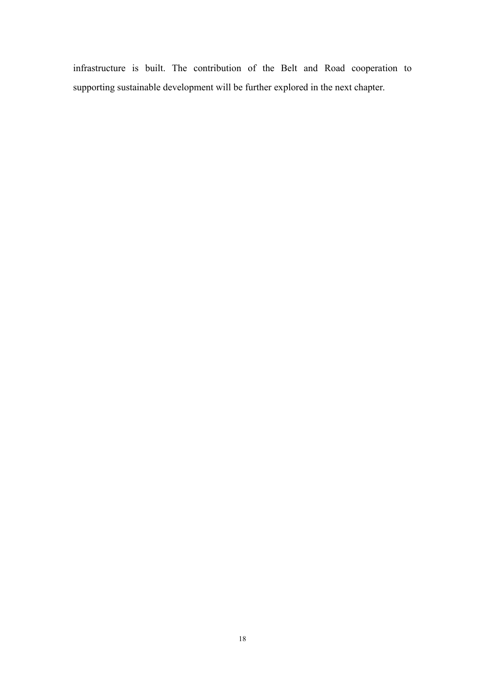infrastructure is built. The contribution of the Belt and Road cooperation to supporting sustainable development will be further explored in the next chapter.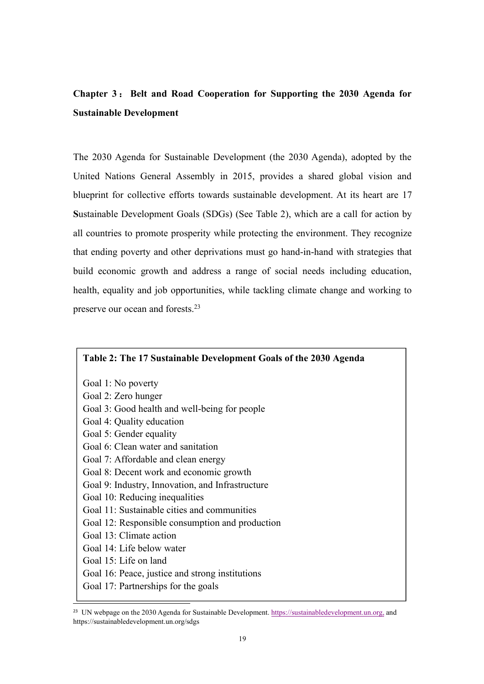### **Chapter 3** : **Belt and Road Cooperation for Supporting the 2030 Agenda for Sustainable Development**

The 2030 Agenda for Sustainable [Development](https://sustainabledevelopment.un.org/post2015/transformingourworld) (the 2030 Agenda), adopted by the United Nations General Assembly in 2015, provides a shared global vision and blueprint for collective efforts towards sustainable development. At its heart are 17 **S**ustainable Development Goals (SDGs) (See Table 2), which are a call for action by all countries to promote prosperity while protecting the environment. They recognize that ending poverty and other deprivations must go hand-in-hand with strategies that build economic growth and address a range of social needs including education, health, equality and job opportunities, while tackling climate change and working to preserve our ocean and forests.[23](#page-22-0)

### **Table 2: The 17 Sustainable Development Goals ofthe 2030 Agenda**

Goal 1: No poverty Goal 2: Zero hunger Goal 3: Good health and well-being for people Goal 4: Quality education Goal 5: Gender equality Goal 6: Clean water and sanitation Goal 7: Affordable and clean energy Goal 8: Decent work and economic growth Goal 9: Industry, Innovation, and Infrastructure Goal 10: Reducing inequalities Goal 11: Sustainable cities and communities Goal 12: Responsible consumption and production Goal 13: Climate action Goal 14: Life below water Goal 15: Life on land Goal 16: Peace, justice and strong institutions Goal 17: Partnerships for the goals

<span id="page-22-0"></span><sup>&</sup>lt;sup>23</sup> UN webpage on the 2030 Agenda for Sustainable Development. <https://sustainabledevelopment.un.org,> and https://sustainabledevelopment.un.org/sdgs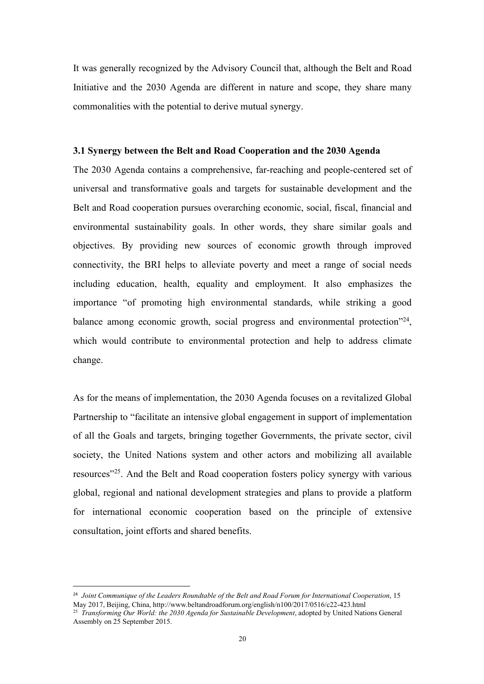It was generally recognized by the Advisory Council that, although the Belt and Road Initiative and the 2030 Agenda are different in nature and scope, they share many commonalities with the potential to derive mutual synergy.

#### **3.1 Synergy between the Belt and Road Cooperation and the 2030 Agenda**

The 2030 Agenda contains a comprehensive, far-reaching and people-centered set of universal and transformative goals and targets for sustainable development and the Belt and Road cooperation pursues overarching economic, social, fiscal, financial and environmental sustainability goals. In other words, they share similar goals and objectives. By providing new sources of economic growth through improved connectivity, the BRI helps to alleviate poverty and meet a range of social needs including education, health, equality and employment. It also emphasizes the importance "of promoting high environmental standards, while striking a good balance among economic growth, social progress and environmental protection<sup>2[24](#page-23-0)</sup>, , which would contribute to environmental protection and help to address climate change.

As for the means of implementation, the 2030 Agenda focuses on a revitalized Global Partnership to "facilitate an intensive global engagement in support of implementation of all the Goals and targets, bringing together Governments, the private sector, civil society, the United Nations system and other actors and mobilizing all available resources" [25](#page-23-1) . And the Belt and Road cooperation fosters policy synergy with various global, regional and national development strategies and plans to provide a platform for international economic cooperation based on the principle of extensive consultation, joint efforts and shared benefits.

<span id="page-23-0"></span><sup>24</sup> *Joint Communique of the Leaders Roundtable of the Belt and Road Forum for International Cooperation*, 15 May 2017, Beijing, China, http://www.beltandroadforum.org/english/n100/2017/0516/c22-423.html

<span id="page-23-1"></span><sup>25</sup> *Transforming Our World: the 2030 Agenda for Sustainable Development*, adopted by United Nations General Assembly on 25 September 2015.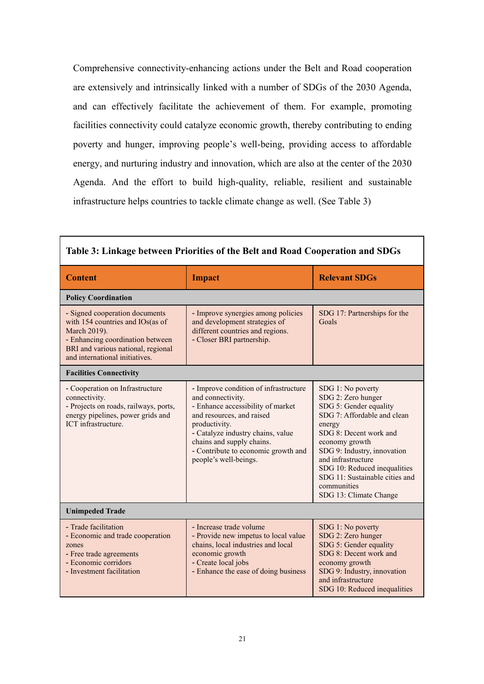Comprehensive connectivity-enhancing actions under the Belt and Road cooperation are extensively and intrinsically linked with a number of SDGs of the 2030 Agenda, and can effectively facilitate the achievement of them. For example, promoting facilities connectivity could catalyze economic growth, thereby contributing to ending poverty and hunger, improving people's well-being, providing access to affordable energy, and nurturing industry and innovation, which are also at the center of the 2030 Agenda. And the effort to build high-quality, reliable, resilient and sustainable infrastructure helps countries to tackle climate change as well. (See Table 3)

٦

Г

| Table 3: Linkage between Priorities of the Belt and Road Cooperation and SDGs                                                                                                                  |                                                                                                                                                                                                                                                                                 |                                                                                                                                                                                                                                                                                                                        |  |  |  |  |
|------------------------------------------------------------------------------------------------------------------------------------------------------------------------------------------------|---------------------------------------------------------------------------------------------------------------------------------------------------------------------------------------------------------------------------------------------------------------------------------|------------------------------------------------------------------------------------------------------------------------------------------------------------------------------------------------------------------------------------------------------------------------------------------------------------------------|--|--|--|--|
| <b>Content</b>                                                                                                                                                                                 | <b>Impact</b>                                                                                                                                                                                                                                                                   | <b>Relevant SDGs</b>                                                                                                                                                                                                                                                                                                   |  |  |  |  |
| <b>Policy Coordination</b>                                                                                                                                                                     |                                                                                                                                                                                                                                                                                 |                                                                                                                                                                                                                                                                                                                        |  |  |  |  |
| - Signed cooperation documents<br>with 154 countries and IOs(as of<br>March 2019).<br>- Enhancing coordination between<br>BRI and various national, regional<br>and international initiatives. | - Improve synergies among policies<br>and development strategies of<br>different countries and regions.<br>- Closer BRI partnership.                                                                                                                                            | SDG 17: Partnerships for the<br>Goals                                                                                                                                                                                                                                                                                  |  |  |  |  |
| <b>Facilities Connectivity</b>                                                                                                                                                                 |                                                                                                                                                                                                                                                                                 |                                                                                                                                                                                                                                                                                                                        |  |  |  |  |
| - Cooperation on Infrastructure<br>connectivity.<br>- Projects on roads, railways, ports,<br>energy pipelines, power grids and<br>ICT infrastructure.                                          | - Improve condition of infrastructure<br>and connectivity.<br>- Enhance accessibility of market<br>and resources, and raised<br>productivity.<br>- Catalyze industry chains, value<br>chains and supply chains.<br>- Contribute to economic growth and<br>people's well-beings. | SDG 1: No poverty<br>SDG 2: Zero hunger<br>SDG 5: Gender equality<br>SDG 7: Affordable and clean<br>energy<br>SDG 8: Decent work and<br>economy growth<br>SDG 9: Industry, innovation<br>and infrastructure<br>SDG 10: Reduced inequalities<br>SDG 11: Sustainable cities and<br>communities<br>SDG 13: Climate Change |  |  |  |  |
| <b>Unimpeded Trade</b>                                                                                                                                                                         |                                                                                                                                                                                                                                                                                 |                                                                                                                                                                                                                                                                                                                        |  |  |  |  |
| - Trade facilitation<br>- Economic and trade cooperation<br>zones<br>- Free trade agreements<br>- Economic corridors<br>- Investment facilitation                                              | - Increase trade volume<br>- Provide new impetus to local value<br>chains, local industries and local<br>economic growth<br>- Create local jobs<br>- Enhance the ease of doing business                                                                                         | SDG 1: No poverty<br>SDG 2: Zero hunger<br>SDG 5: Gender equality<br>SDG 8: Decent work and<br>economy growth<br>SDG 9: Industry, innovation<br>and infrastructure<br>SDG 10: Reduced inequalities                                                                                                                     |  |  |  |  |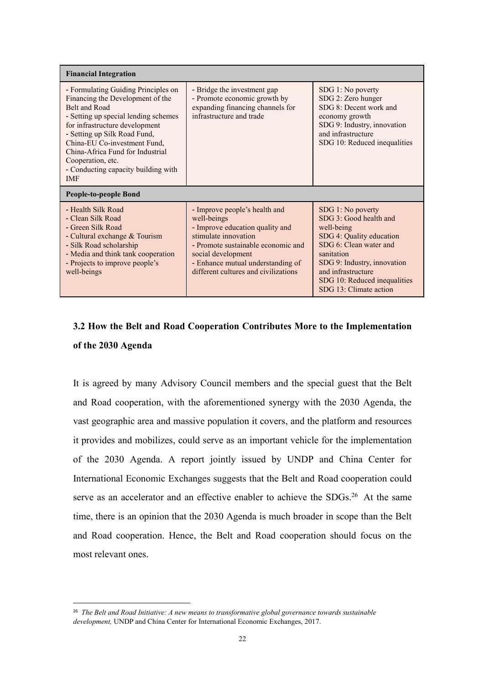| <b>Financial Integration</b>                                                                                                                                                                                                                                                                                                                     |                                                                                                                                                                                                                                                  |                                                                                                                                                                                                                                              |  |  |  |
|--------------------------------------------------------------------------------------------------------------------------------------------------------------------------------------------------------------------------------------------------------------------------------------------------------------------------------------------------|--------------------------------------------------------------------------------------------------------------------------------------------------------------------------------------------------------------------------------------------------|----------------------------------------------------------------------------------------------------------------------------------------------------------------------------------------------------------------------------------------------|--|--|--|
| - Formulating Guiding Principles on<br>Financing the Development of the<br>Belt and Road<br>- Setting up special lending schemes<br>for infrastructure development<br>- Setting up Silk Road Fund,<br>China-EU Co-investment Fund,<br>China-Africa Fund for Industrial<br>Cooperation, etc.<br>- Conducting capacity building with<br><b>IMF</b> | - Bridge the investment gap<br>- Promote economic growth by<br>expanding financing channels for<br>infrastructure and trade                                                                                                                      | SDG 1: No poverty<br>SDG 2: Zero hunger<br>SDG 8: Decent work and<br>economy growth<br>SDG 9: Industry, innovation<br>and infrastructure<br>SDG 10: Reduced inequalities                                                                     |  |  |  |
| People-to-people Bond                                                                                                                                                                                                                                                                                                                            |                                                                                                                                                                                                                                                  |                                                                                                                                                                                                                                              |  |  |  |
| - Health Silk Road<br>- Clean Silk Road<br>- Green Silk Road<br>- Cultural exchange & Tourism<br>- Silk Road scholarship<br>- Media and think tank cooperation<br>- Projects to improve people's<br>well-beings                                                                                                                                  | - Improve people's health and<br>well-beings<br>- Improve education quality and<br>stimulate innovation<br>- Promote sustainable economic and<br>social development<br>- Enhance mutual understanding of<br>different cultures and civilizations | SDG 1: No poverty<br>SDG 3: Good health and<br>well-being<br>SDG 4: Quality education<br>SDG 6: Clean water and<br>sanitation<br>SDG 9: Industry, innovation<br>and infrastructure<br>SDG 10: Reduced inequalities<br>SDG 13: Climate action |  |  |  |

### **3.2 How the Belt and Road Cooperation Contributes More to the Implementation of the 2030 Agenda**

It is agreed by many Advisory Council members and the special guest that the Belt and Road cooperation, with the aforementioned synergy with the 2030 Agenda, the vast geographic area and massive population it covers, and the platform and resources it provides and mobilizes, could serve as an important vehicle for the implementation of the 2030 Agenda. A report jointly issued by UNDP and China Center for International Economic Exchanges suggests that the Belt and Road cooperation could serve as an accelerator and an effective enabler to achieve the SDGs.<sup>[26](#page-25-0)</sup> At the same time, there is an opinion that the 2030 Agenda is much broader in scope than the Belt and Road cooperation. Hence, the Belt and Road cooperation should focus on the most relevant ones.

<span id="page-25-0"></span><sup>26</sup> *The Belt and Road Initiative: A new means to transformative global governance towards sustainable development,* UNDP and China Center for International Economic Exchanges, 2017.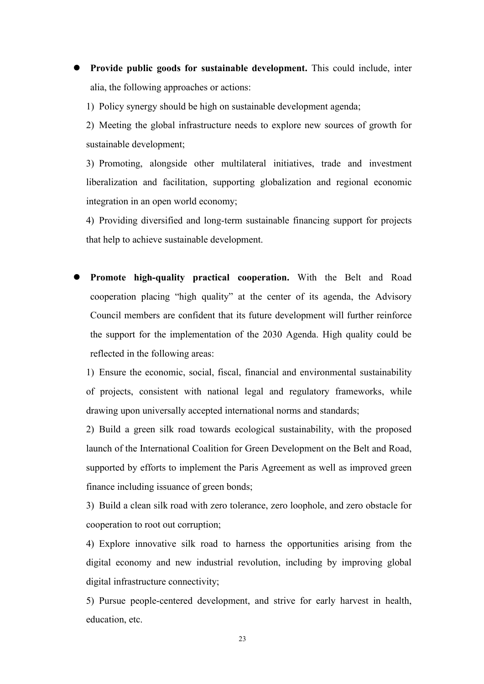**Provide public goods for sustainable development.** This could include, inter alia, the following approaches or actions:

1) Policy synergy should be high on sustainable development agenda;

2) Meeting the global infrastructure needs to explore new sources of growth for sustainable development;

3) Promoting, alongside other multilateral initiatives, trade and investment liberalization and facilitation, supporting globalization and regional economic integration in an open world economy;

4) Providing diversified and long-term sustainable financing support for projects that help to achieve sustainable development.

 **Promote high-quality practical cooperation.** With the Belt and Road cooperation placing "high quality" at the center of its agenda, the Advisory Council members are confident that its future development will further reinforce the support for the implementation of the 2030 Agenda. High quality could be reflected in the following areas:

1) Ensure the economic, social, fiscal, financial and environmental sustainability of projects, consistent with national legal and regulatory frameworks, while drawing upon universally accepted international norms and standards;

2) Build a green silk road towards ecological sustainability, with the proposed launch of the International Coalition for Green Development on the Belt and Road, supported by efforts to implement the Paris Agreement as well as improved green finance including issuance of green bonds;

3) Build a clean silk road with zero tolerance, zero loophole, and zero obstacle for cooperation to root out corruption;

4) Explore innovative silk road to harness the opportunities arising from the digital economy and new industrial revolution, including by improving global digital infrastructure connectivity;

5) Pursue people-centered development, and strive for early harvest in health, education, etc.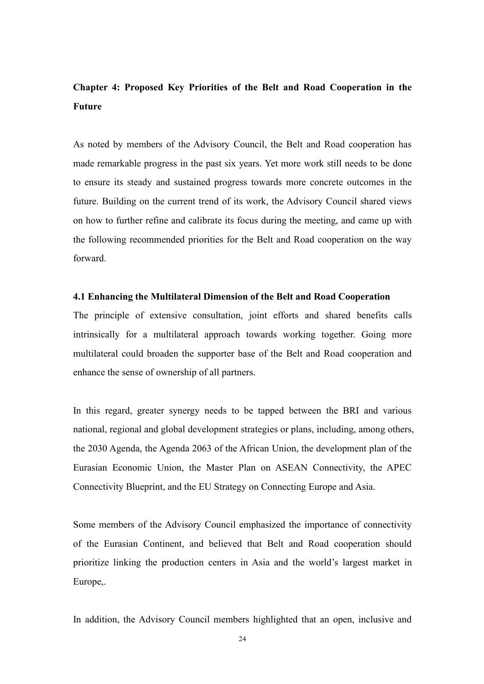### **Chapter 4: Proposed Key Priorities of the Belt and Road Cooperation in the Future**

As noted by members of the Advisory Council, the Belt and Road cooperation has made remarkable progress in the past six years. Yet more work still needs to be done to ensure its steady and sustained progress towards more concrete outcomes in the future. Building on the current trend of its work, the Advisory Council shared views on how to further refine and calibrate its focus during the meeting, and came up with the following recommended priorities for the Belt and Road cooperation on the way forward.

### **4.1 Enhancing the Multilateral Dimension of the Belt and Road Cooperation**

The principle of extensive consultation, joint efforts and shared benefits calls intrinsically for a multilateral approach towards working together. Going more multilateral could broaden the supporter base of the Belt and Road cooperation and enhance the sense of ownership of all partners.

In this regard, greater synergy needs to be tapped between the BRI and various national, regional and global development strategies or plans, including, among others, the 2030 Agenda, the Agenda 2063 of the African Union, the development plan of the Eurasian Economic Union, the Master Plan on ASEAN Connectivity, the APEC Connectivity Blueprint, and the EU Strategy on Connecting Europe and Asia.

Some members of the Advisory Council emphasized the importance of connectivity of the Eurasian Continent, and believed that Belt and Road cooperation should prioritize linking the production centers in Asia and the world's largest market in Europe,.

In addition, the Advisory Council members highlighted that an open, inclusive and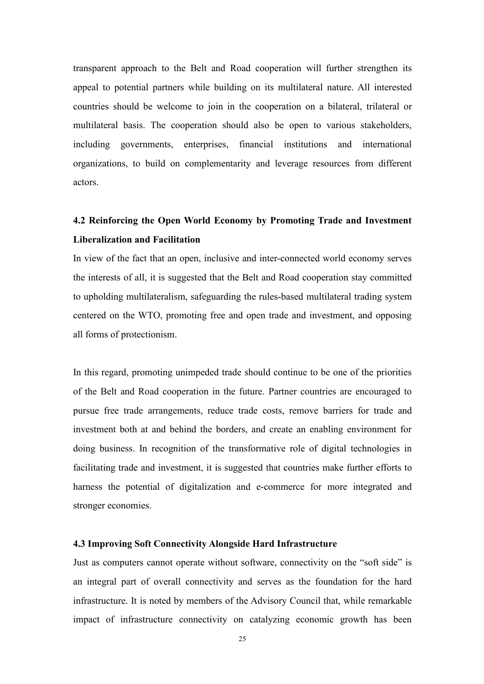transparent approach to the Belt and Road cooperation will further strengthen its appeal to potential partners while building on its multilateral nature. All interested countries should be welcome to join in the cooperation on a bilateral, trilateral or multilateral basis. The cooperation should also be open to various stakeholders, including governments, enterprises, financial institutions and international organizations, to build on complementarity and leverage resources from different actors.

### **4.2 Reinforcing the Open World Economy by Promoting Trade and Investment Liberalization and Facilitation**

In view of the fact that an open, inclusive and inter-connected world economy serves the interests of all, it is suggested that the Belt and Road cooperation stay committed to upholding multilateralism, safeguarding the rules-based multilateral trading system centered on the WTO, promoting free and open trade and investment, and opposing all forms of protectionism.

In this regard, promoting unimpeded trade should continue to be one of the priorities of the Belt and Road cooperation in the future. Partner countries are encouraged to pursue free trade arrangements, reduce trade costs, remove barriers for trade and investment both at and behind the borders, and create an enabling environment for doing business. In recognition of the transformative role of digital technologies in facilitating trade and investment, it is suggested that countries make further efforts to harness the potential of digitalization and e-commerce for more integrated and stronger economies.

### **4.3 Improving Soft Connectivity Alongside Hard Infrastructure**

Just as computers cannot operate without software, connectivity on the "soft side" is an integral part of overall connectivity and serves as the foundation for the hard infrastructure. It is noted by members of the Advisory Council that, while remarkable impact of infrastructure connectivity on catalyzing economic growth has been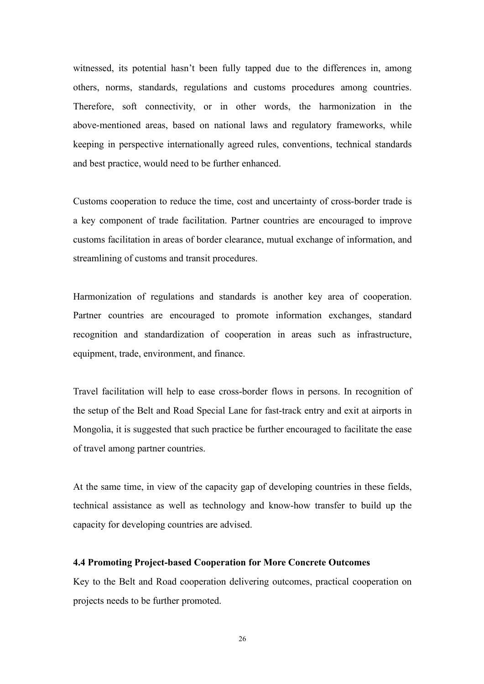witnessed, its potential hasn't been fully tapped due to the differences in, among others, norms, standards, regulations and customs procedures among countries. Therefore, soft connectivity, or in other words, the harmonization in the above-mentioned areas, based on national laws and regulatory frameworks, while keeping in perspective internationally agreed rules, conventions, technical standards and best practice, would need to be further enhanced.

Customs cooperation to reduce the time, cost and uncertainty of cross-border trade is a key component of trade facilitation. Partner countries are encouraged to improve customs facilitation in areas of border clearance, mutual exchange of information, and streamlining of customs and transit procedures.

Harmonization of regulations and standards is another key area of cooperation. Partner countries are encouraged to promote information exchanges, standard recognition and standardization of cooperation in areas such as infrastructure, equipment, trade, environment, and finance.

Travel facilitation will help to ease cross-border flows in persons. In recognition of the setup of the Belt and Road Special Lane for fast-track entry and exit at airports in Mongolia, it is suggested that such practice be further encouraged to facilitate the ease of travel among partner countries.

At the same time, in view of the capacity gap of developing countries in these fields, technical assistance as well as technology and know-how transfer to build up the capacity for developing countries are advised.

#### **4.4 Promoting Project-based Cooperation for More Concrete Outcomes**

Key to the Belt and Road cooperation delivering outcomes, practical cooperation on projects needs to be further promoted.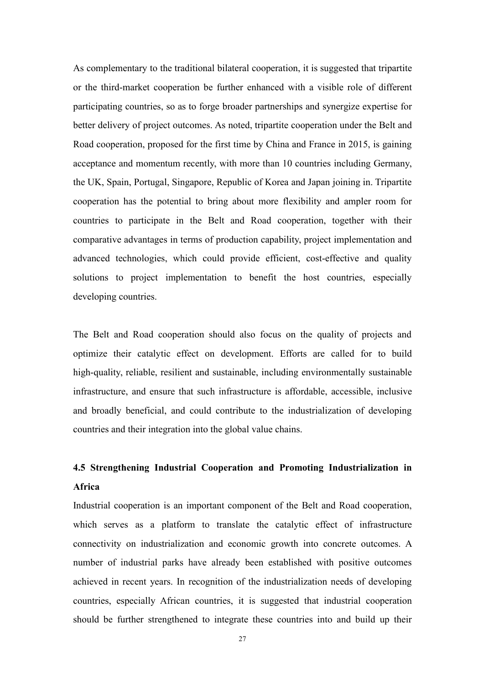As complementary to the traditional bilateral cooperation, it is suggested that tripartite or the third-market cooperation be further enhanced with a visible role of different participating countries, so as to forge broader partnerships and synergize expertise for better delivery of project outcomes. As noted, tripartite cooperation under the Belt and Road cooperation, proposed for the first time by China and France in 2015, is gaining acceptance and momentum recently, with more than 10 countries including Germany, the UK, Spain, Portugal, Singapore, Republic of Korea and Japan joining in. Tripartite cooperation has the potential to bring about more flexibility and ampler room for countries to participate in the Belt and Road cooperation, together with their comparative advantages in terms of production capability, project implementation and advanced technologies, which could provide efficient, cost-effective and quality solutions to project implementation to benefit the host countries, especially developing countries.

The Belt and Road cooperation should also focus on the quality of projects and optimize their catalytic effect on development. Efforts are called for to build high-quality, reliable, resilient and sustainable, including environmentally sustainable infrastructure, and ensure that such infrastructure is affordable, accessible, inclusive and broadly beneficial, and could contribute to the industrialization of developing countries and their integration into the global value chains.

### **4.5 Strengthening Industrial Cooperation and Promoting Industrialization in Africa**

Industrial cooperation is an important component of the Belt and Road cooperation, which serves as a platform to translate the catalytic effect of infrastructure connectivity on industrialization and economic growth into concrete outcomes. A number of industrial parks have already been established with positive outcomes achieved in recent years. In recognition of the industrialization needs of developing countries, especially African countries, it is suggested that industrial cooperation should be further strengthened to integrate these countries into and build up their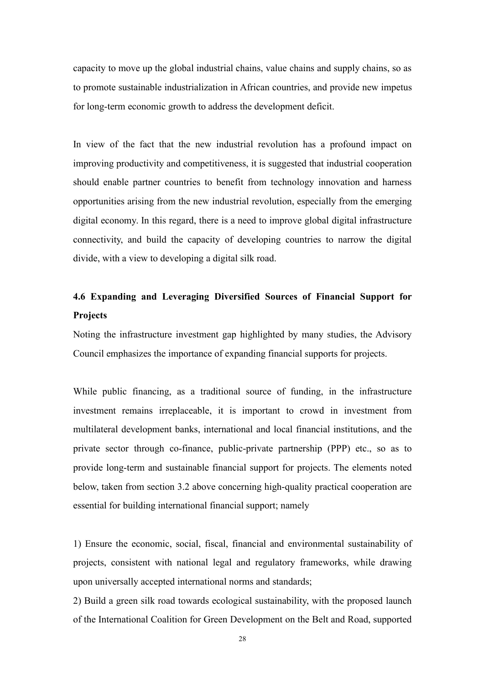capacity to move up the global industrial chains, value chains and supply chains, so as to promote sustainable industrialization in African countries, and provide new impetus for long-term economic growth to address the development deficit.

In view of the fact that the new industrial revolution has a profound impact on improving productivity and competitiveness, it is suggested that industrial cooperation should enable partner countries to benefit from technology innovation and harness opportunities arising from the new industrial revolution, especially from the emerging digital economy. In this regard, there is a need to improve global digital infrastructure connectivity, and build the capacity of developing countries to narrow the digital divide, with a view to developing a digital silk road.

### **4.6 Expanding and Leveraging Diversified Sources of Financial Support for Projects**

Noting the infrastructure investment gap highlighted by many studies, the Advisory Council emphasizes the importance of expanding financial supports for projects.

While public financing, as a traditional source of funding, in the infrastructure investment remains irreplaceable, it is important to crowd in investment from multilateral development banks, international and local financial institutions, and the private sector through co-finance, public-private partnership (PPP) etc., so as to provide long-term and sustainable financial support for projects. The elements noted below, taken from section 3.2 above concerning high-quality practical cooperation are essential for building international financial support; namely

1) Ensure the economic, social, fiscal, financial and environmental sustainability of projects, consistent with national legal and regulatory frameworks, while drawing upon universally accepted international norms and standards;

2) Build a green silk road towards ecological sustainability, with the proposed launch of the International Coalition for Green Development on the Belt and Road, supported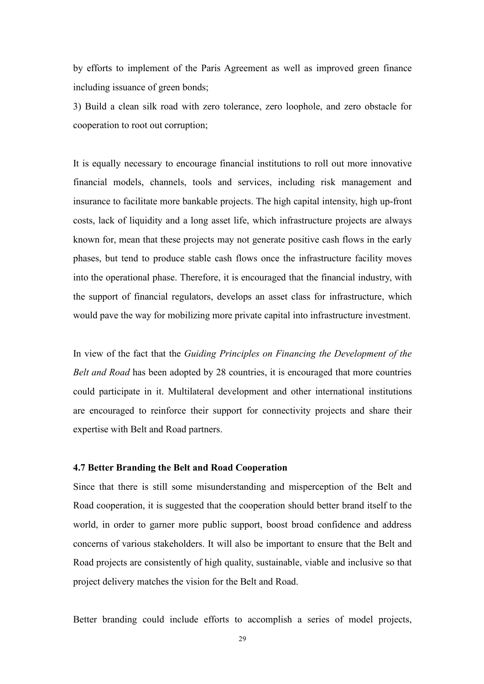by efforts to implement of the Paris Agreement as wellas improved green finance including issuance of green bonds;

3) Build a clean silk road with zero tolerance, zero loophole, and zero obstacle for cooperation to root out corruption;

It is equally necessary to encourage financial institutions to roll out more innovative financial models, channels, tools and services, including risk management and insurance to facilitate more bankable projects.The high capital intensity, high up-front costs, lack of liquidity and a long asset life, which infrastructure projects are always known for, mean that these projects may not generate positive cash flows in the early phases, but tend to produce stable cash flows once the infrastructure facility moves into the operational phase. Therefore, it is encouraged that the financial industry, with the support of financial regulators, develops an asset class for infrastructure, which would pave the way for mobilizing more private capital into infrastructure investment.

In view of the fact that the *Guiding Principles on Financing the Development of the Belt and Road* has been adopted by 28 countries, it is encouraged that more countries could participate in it. Multilateral development and other international institutions are encouraged to reinforce their support for connectivity projects and share their expertise with Belt and Road partners.

### **4.7 Better Branding the Belt and Road Cooperation**

Since that there is still some misunderstanding and misperception of the Belt and Road cooperation, it is suggested that the cooperation should better brand itself to the world, in order to garner more public support, boost broad confidence and address concerns of various stakeholders. It will also be important to ensure that the Belt and Road projects are consistently of high quality, sustainable, viable and inclusive so that project delivery matches the vision for the Belt and Road.

Better branding could include efforts to accomplish a series of model projects,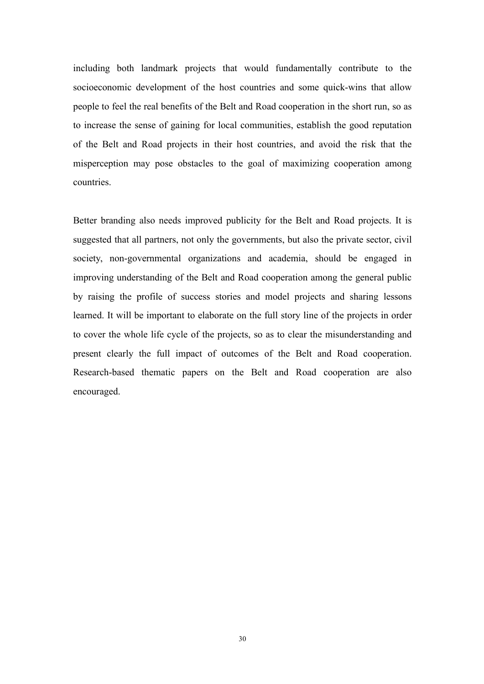including both landmark projects that would fundamentally contribute to the socioeconomic development of the host countries and some quick-wins that allow people to feel the real benefits of the Belt and Road cooperation in the short run, so as to increase the sense of gaining for local communities, establish the good reputation of the Belt and Road projects in their host countries, and avoid the risk that the misperception may pose obstacles to the goal of maximizing cooperation among countries.

Better branding also needs improved publicity for the Belt and Road projects. It is suggested that all partners, not only the governments, but also the private sector, civil society, non-governmental organizations and academia, should be engaged in improving understanding of the Belt and Road cooperation among the general public by raising the profile of success stories and model projects and sharing lessons learned. It will be important to elaborate on the full story line of the projects in order to cover the whole life cycle of the projects, so as to clear the misunderstanding and present clearly the full impact of outcomes of the Belt and Road cooperation. Research-based thematic papers on the Belt and Road cooperation are also encouraged.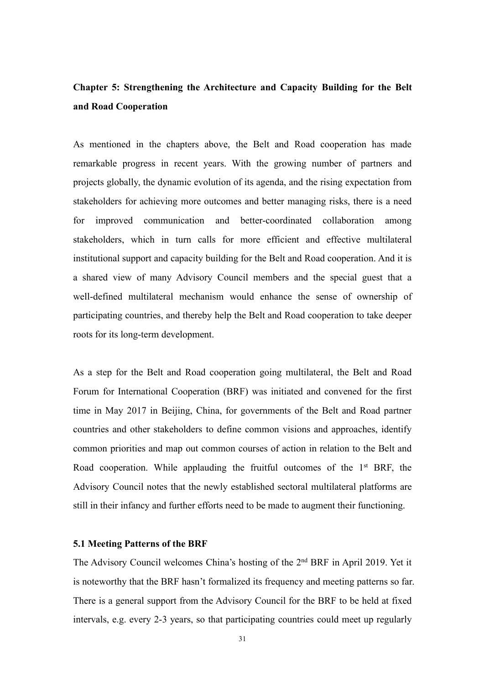### **Chapter 5: Strengthening the Architecture and Capacity Building for the Belt and Road Cooperation**

As mentioned in the chapters above, the Belt and Road cooperation has made remarkable progress in recent years. With the growing number of partners and projects globally, the dynamic evolution of its agenda, and the rising expectation from stakeholders for achieving more outcomes and better managing risks, there is a need for improved communication and better-coordinated collaboration among stakeholders, which in turn calls for more efficient and effective multilateral institutional support and capacity building for the Belt and Road cooperation. And it is a shared view of many Advisory Council members and the special guest that a well-defined multilateral mechanism would enhance the sense of ownership of participating countries, and thereby help the Belt and Road cooperation to take deeper roots for its long-term development.

As a step for the Belt and Road cooperation going multilateral, the Belt and Road Forum for International Cooperation (BRF) was initiated and convened for the first time in May 2017 in Beijing, China, for governments of the Belt and Road partner countries and other stakeholders to define common visions and approaches, identify common priorities and map out common courses of action in relation to the Belt and Road cooperation. While applauding the fruitful outcomes of the 1<sup>st</sup> BRF, the Advisory Council notes that the newly established sectoral multilateral platforms are still in their infancy and further efforts need to be made to augment their functioning.

### **5.1 Meeting Patterns of the BRF**

The Advisory Council welcomes China's hosting of the 2<sup>nd</sup> BRF in April 2019. Yet it is noteworthy that the BRF hasn't formalized its frequency and meeting patterns so far. There is a general support from the Advisory Council for the BRF to be held at fixed intervals, e.g. every 2-3 years, so that participating countries could meet up regularly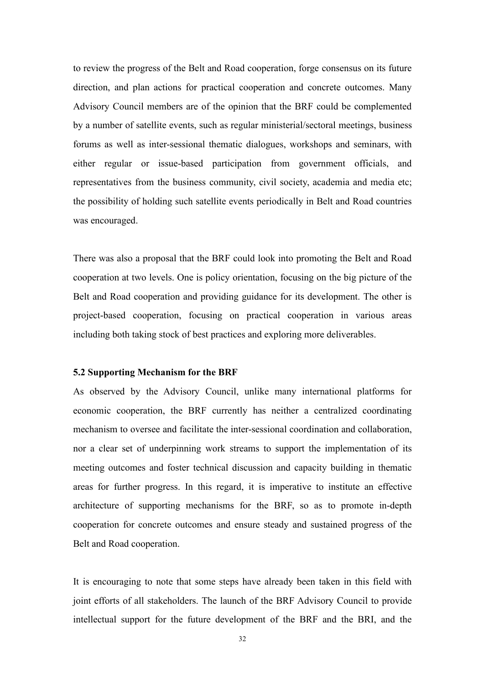to review the progress of the Belt and Road cooperation, forge consensus on its future direction, and plan actions for practical cooperation and concrete outcomes. Many Advisory Council members are of the opinion that the BRF could be complemented by a number of satellite events, such as regular ministerial/sectoral meetings, business forums as well as inter-sessional thematic dialogues, workshops and seminars, with either regular or issue-based participation from government officials, and representatives from the business community, civil society, academia and media etc; the possibility of holding such satellite events periodically in Belt and Road countries was encouraged.

There was also a proposal that the BRF could look into promoting the Belt and Road cooperation at two levels. One is policy orientation, focusing on the big picture of the Belt and Road cooperation and providing guidance for its development. The other is project-based cooperation, focusing on practical cooperation in various areas including both taking stock of best practices and exploring more deliverables.

### **5.2 Supporting Mechanism for the BRF**

As observed by the Advisory Council, unlike many international platforms for economic cooperation, the BRF currently has neither a centralized coordinating mechanism to oversee and facilitate the inter-sessional coordination and collaboration, nor a clear set of underpinning work streams to support the implementation of its meeting outcomes and foster technical discussion and capacity building in thematic areas for further progress. In this regard, it is imperative to institute an effective architecture of supporting mechanisms for the BRF, so as to promote in-depth cooperation for concrete outcomes and ensure steady and sustained progress of the Belt and Road cooperation.

It is encouraging to note that some steps have already been taken in this field with joint efforts of all stakeholders. The launch of the BRF Advisory Council to provide intellectual support for the future development of the BRF and the BRI, and the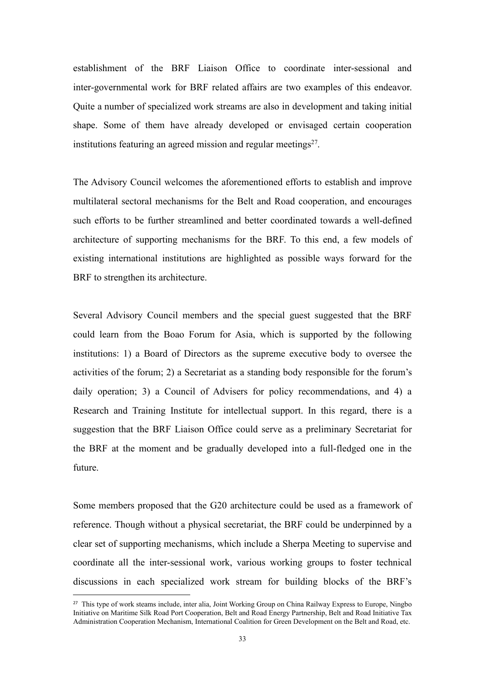establishment of the BRF Liaison Office to coordinate inter-sessional and inter-governmental work for BRF related affairs are two examples of this endeavor. Quite a number of specialized work streams are also in development and taking initial shape. Some of them have already developed or envisaged certain cooperation institutions featuring an agreed mission and regular meetings [27](#page-36-0) .

The Advisory Council welcomes the aforementioned efforts to establish and improve multilateral sectoral mechanisms for the Belt and Road cooperation, and encourages such efforts to be further streamlined and better coordinated towards a well-defined architecture of supporting mechanisms for the BRF. To this end, a few models of existing international institutions are highlighted as possible ways forward for the BRF to strengthen its architecture.

Several Advisory Council members and the special guest suggested that the BRF could learn from the Boao Forum for Asia, which is supported by the following institutions: 1) a Board of Directors as the supreme executive body to oversee the activities of the forum; 2) a Secretariat as a standing body responsible for the forum's daily operation; 3) a Council of Advisers for policy recommendations, and 4) a Research and Training Institute for intellectual support. In this regard, there is a suggestion that the BRF Liaison Office could serve as a preliminary Secretariat for the BRF at the moment and be gradually developed into a full-fledged one in the future.

Some members proposed that the G20 architecture could be used as a framework of reference. Though without a physical secretariat, the BRF could be underpinned by a clear set of supporting mechanisms, which include a Sherpa Meeting to supervise and coordinate all the inter-sessional work, various working groups to foster technical discussions in each specialized work stream for building blocks of the BRF's

<span id="page-36-0"></span><sup>&</sup>lt;sup>27</sup> This type of work steams include, inter alia, Joint Working Group on China Railway Express to Europe, Ningbo Initiative on Maritime Silk Road Port Cooperation, Belt and Road Energy Partnership, Belt and Road Initiative Tax Administration Cooperation Mechanism, International Coalition for Green Development on the Belt and Road, etc.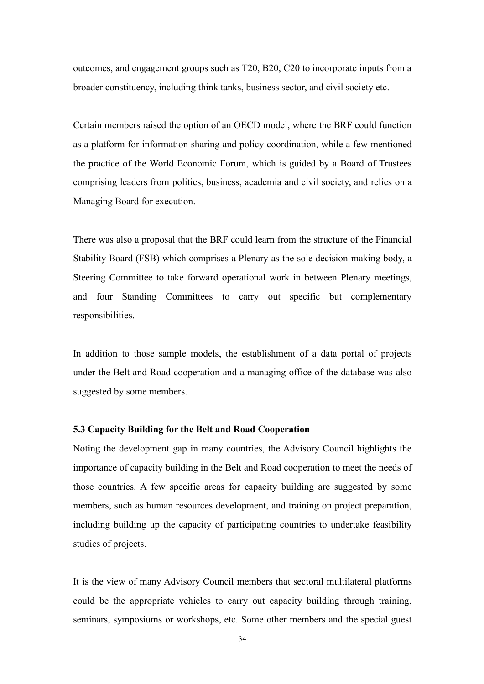outcomes, and engagement groups such as T20, B20, C20 to incorporate inputs from a broader constituency, including think tanks, business sector, and civil society etc.

Certain members raised the option of an OECD model, where the BRF could function as a platform for information sharing and policy coordination, while a few mentioned the practice of the World Economic Forum, which is guided by a Board of Trustees comprising leaders from politics, business, academia and civil society, and relies on a Managing Board for execution.

There was also a proposal that the BRF could learn from the structure of the Financial Stability Board (FSB) which comprises a Plenary as the sole decision-making body, a Steering Committee to take forward operational work in between Plenary meetings, and four Standing Committees to carry out specific but complementary responsibilities.

In addition to those sample models, the establishment of a data portal of projects under the Belt and Road cooperation and a managing office of the database was also suggested by some members.

### **5.3 Capacity Building for the Belt and Road Cooperation**

Noting the development gap in many countries, the Advisory Council highlights the importance of capacity building in the Belt and Road cooperation to meet the needs of those countries. A few specific areas for capacity building are suggested by some members, such as human resources development, and training on project preparation, including building up the capacity of participating countries to undertake feasibility studies of projects.

It is the view of many Advisory Council members that sectoral multilateral platforms could be the appropriate vehicles to carry out capacity building through training, seminars, symposiums or workshops, etc. Some other members and the special guest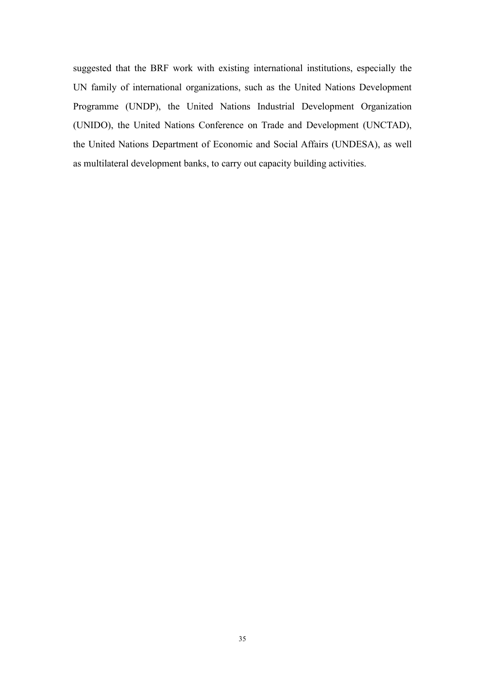suggested that the BRF work with existing international institutions, especially the UN family of international organizations, such as the United Nations Development Programme (UNDP), the United Nations Industrial Development Organization (UNIDO), the United Nations Conference on Trade and Development (UNCTAD), the United Nations Department of Economic and Social Affairs (UNDESA), as well as multilateral development banks, to carry out capacity building activities.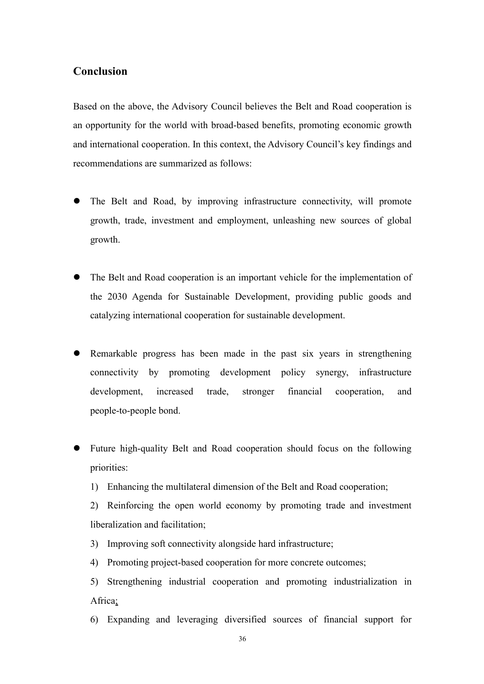### **Conclusion**

Based on the above, the Advisory Council believes the Belt and Road cooperation is an opportunity for the world with broad-based benefits, promoting economic growth and international cooperation. In this context, the Advisory Council's key findings and recommendations are summarized as follows:

- The Belt and Road, by improving infrastructure connectivity, will promote growth, trade, investment and employment, unleashing new sources of global growth.
- The Belt and Road cooperation is an important vehicle for the implementation of the 2030 Agenda for Sustainable Development, providing public goods and catalyzing international cooperation for sustainable development.
- Remarkable progress has been made in the past six years in strengthening connectivity by promoting development policy synergy, infrastructure development, increased trade, stronger financial cooperation, and people-to-people bond.
- Future high-quality Belt and Road cooperation should focus on the following priorities:
	- 1) Enhancing the multilateral dimension of the Belt and Road cooperation;

2) Reinforcing the open world economy by promoting trade and investment liberalization and facilitation;

- 3) Improving soft connectivity alongside hard infrastructure;
- 4) Promoting project-based cooperation for more concrete outcomes;
- 5) Strengthening industrial cooperation and promoting industrialization in Africa;
- 6) Expanding and leveraging diversified sources of financial support for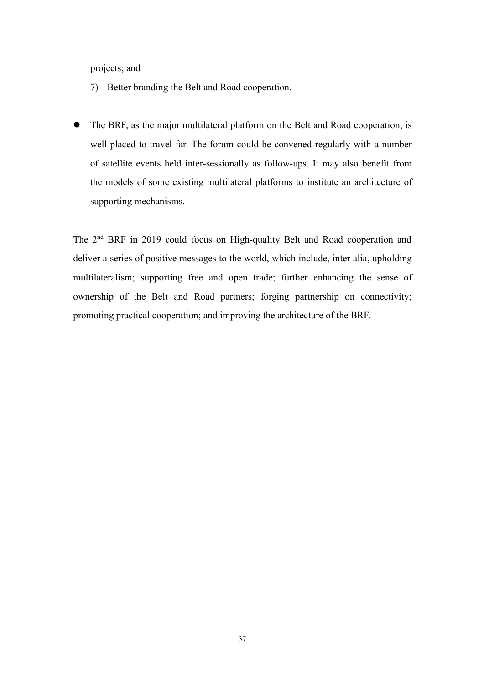projects; and

- 7) Better branding the Belt and Road cooperation.
- The BRF, as the major multilateral platform on the Belt and Road cooperation, is well-placed to travel far. The forum could be convened regularly with a number of satellite events held inter-sessionally as follow-ups. It may also benefit from the models of some existing multilateral platforms to institute an architecture of supporting mechanisms.

The 2<sup>nd</sup> BRF in 2019 could focus on High-quality Belt and Road cooperation and deliver a series of positive messages to the world, which include, inter alia, upholding multilateralism; supporting free and open trade; further enhancing the sense of ownership of the Belt and Road partners; forging partnership on connectivity; promoting practical cooperation; and improving the architecture of the BRF.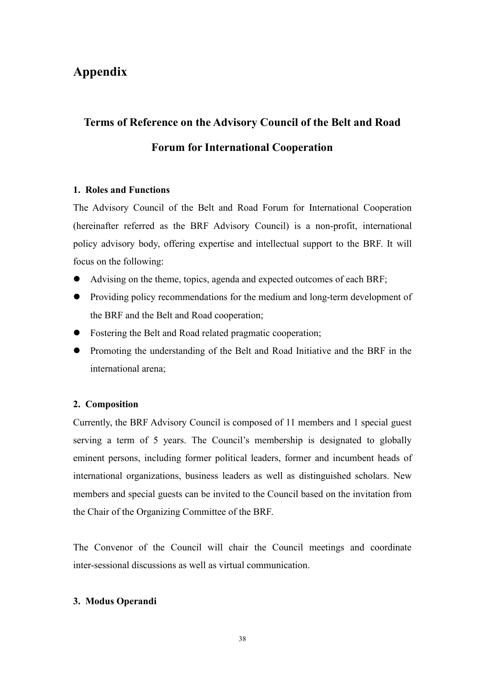### **Appendix**

## **Terms of Reference on the Advisory Council of the Belt and Road Forum for International Cooperation**

### **1. Roles and Functions**

The Advisory Council of the Belt and Road Forum for International Cooperation (hereinafter referred as the BRF Advisory Council) is a non-profit, international policy advisory body, offering expertise and intellectual support to the BRF. It will focus on the following:

- Advising on the theme, topics, agenda and expected outcomes of each BRF;
- Providing policy recommendations for the medium and long-term development of the BRF and the Belt and Road cooperation;
- Fostering the Belt and Road related pragmatic cooperation;
- Promoting the understanding of the Belt and Road Initiative and the BRF in the international arena;

### **2. Composition**

Currently, the BRF Advisory Council is composed of 11 members and 1 special guest serving a term of 5 years. The Council's membership is designated to globally eminent persons, including former political leaders, former and incumbent heads of international organizations, business leaders as well as distinguished scholars. New members and special guests can be invited to the Council based on the invitation from the Chair of the Organizing Committee of the BRF.

The Convenor of the Council will chair the Council meetings and coordinate inter-sessional discussions as well as virtual communication.

### **3. Modus Operandi**